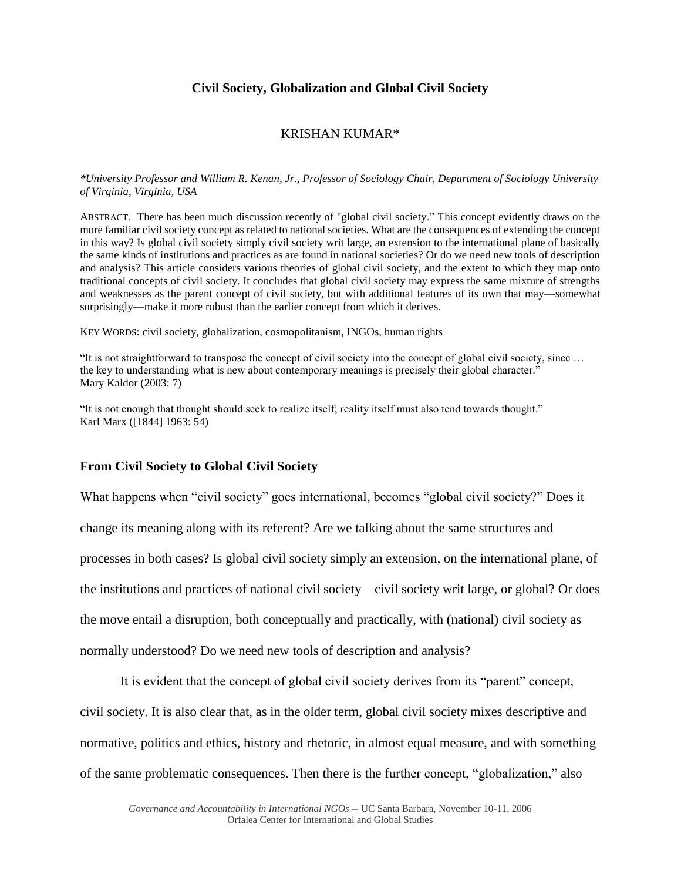# **Civil Society, Globalization and Global Civil Society**

# KRISHAN KUMAR\*

### *\*University Professor and William R. Kenan, Jr., Professor of Sociology Chair, Department of Sociology University of Virginia, Virginia, USA*

ABSTRACT. There has been much discussion recently of "global civil society." This concept evidently draws on the more familiar civil society concept as related to national societies. What are the consequences of extending the concept in this way? Is global civil society simply civil society writ large, an extension to the international plane of basically the same kinds of institutions and practices as are found in national societies? Or do we need new tools of description and analysis? This article considers various theories of global civil society, and the extent to which they map onto traditional concepts of civil society. It concludes that global civil society may express the same mixture of strengths and weaknesses as the parent concept of civil society, but with additional features of its own that may—somewhat surprisingly—make it more robust than the earlier concept from which it derives.

KEY WORDS: civil society, globalization, cosmopolitanism, INGOs, human rights

"It is not straightforward to transpose the concept of civil society into the concept of global civil society, since … the key to understanding what is new about contemporary meanings is precisely their global character." Mary Kaldor (2003: 7)

"It is not enough that thought should seek to realize itself; reality itself must also tend towards thought." Karl Marx ([1844] 1963: 54)

## **From Civil Society to Global Civil Society**

What happens when "civil society" goes international, becomes "global civil society?" Does it change its meaning along with its referent? Are we talking about the same structures and processes in both cases? Is global civil society simply an extension, on the international plane, of the institutions and practices of national civil society—civil society writ large, or global? Or does the move entail a disruption, both conceptually and practically, with (national) civil society as normally understood? Do we need new tools of description and analysis?

It is evident that the concept of global civil society derives from its "parent" concept,

civil society. It is also clear that, as in the older term, global civil society mixes descriptive and normative, politics and ethics, history and rhetoric, in almost equal measure, and with something of the same problematic consequences. Then there is the further concept, "globalization," also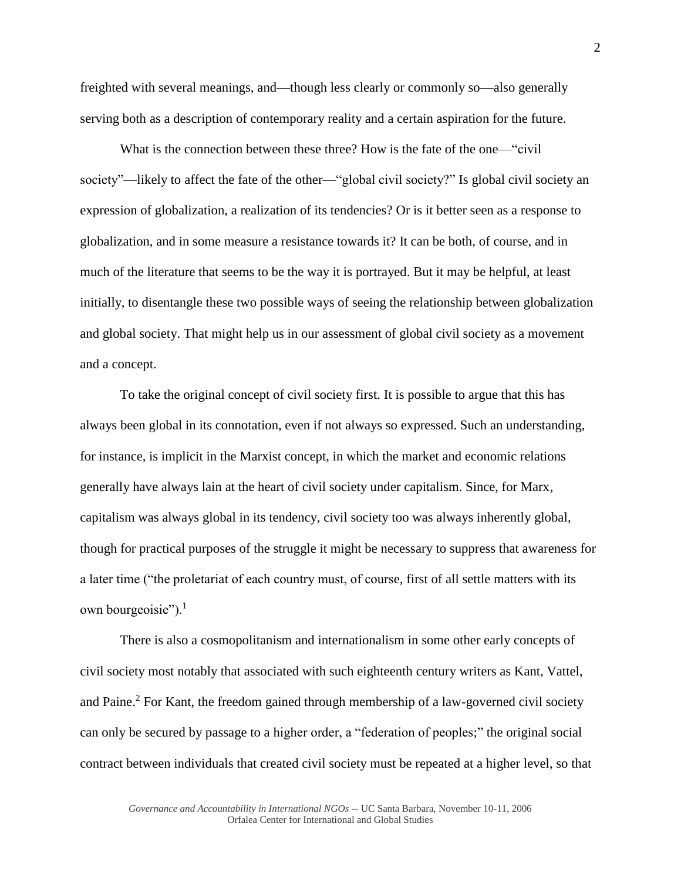freighted with several meanings, and—though less clearly or commonly so—also generally serving both as a description of contemporary reality and a certain aspiration for the future.

What is the connection between these three? How is the fate of the one—"civil society"—likely to affect the fate of the other—"global civil society?" Is global civil society an expression of globalization, a realization of its tendencies? Or is it better seen as a response to globalization, and in some measure a resistance towards it? It can be both, of course, and in much of the literature that seems to be the way it is portrayed. But it may be helpful, at least initially, to disentangle these two possible ways of seeing the relationship between globalization and global society. That might help us in our assessment of global civil society as a movement and a concept.

To take the original concept of civil society first. It is possible to argue that this has always been global in its connotation, even if not always so expressed. Such an understanding, for instance, is implicit in the Marxist concept, in which the market and economic relations generally have always lain at the heart of civil society under capitalism. Since, for Marx, capitalism was always global in its tendency, civil society too was always inherently global, though for practical purposes of the struggle it might be necessary to suppress that awareness for a later time ("the proletariat of each country must, of course, first of all settle matters with its own bourgeoisie"). $<sup>1</sup>$ </sup>

There is also a cosmopolitanism and internationalism in some other early concepts of civil society most notably that associated with such eighteenth century writers as Kant, Vattel, and Paine.<sup>2</sup> For Kant, the freedom gained through membership of a law-governed civil society can only be secured by passage to a higher order, a "federation of peoples;" the original social contract between individuals that created civil society must be repeated at a higher level, so that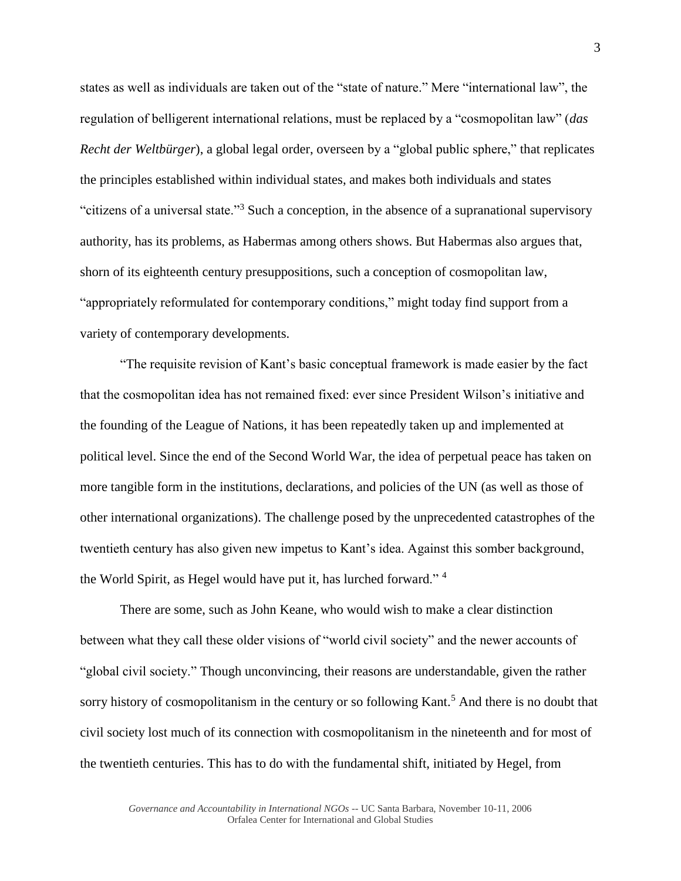states as well as individuals are taken out of the "state of nature." Mere "international law", the regulation of belligerent international relations, must be replaced by a "cosmopolitan law" (*das Recht der Weltbürger*), a global legal order, overseen by a "global public sphere," that replicates the principles established within individual states, and makes both individuals and states "citizens of a universal state."<sup>3</sup> Such a conception, in the absence of a supranational supervisory authority, has its problems, as Habermas among others shows. But Habermas also argues that, shorn of its eighteenth century presuppositions, such a conception of cosmopolitan law, "appropriately reformulated for contemporary conditions," might today find support from a variety of contemporary developments.

"The requisite revision of Kant's basic conceptual framework is made easier by the fact that the cosmopolitan idea has not remained fixed: ever since President Wilson's initiative and the founding of the League of Nations, it has been repeatedly taken up and implemented at political level. Since the end of the Second World War, the idea of perpetual peace has taken on more tangible form in the institutions, declarations, and policies of the UN (as well as those of other international organizations). The challenge posed by the unprecedented catastrophes of the twentieth century has also given new impetus to Kant's idea. Against this somber background, the World Spirit, as Hegel would have put it, has lurched forward." <sup>4</sup>

There are some, such as John Keane, who would wish to make a clear distinction between what they call these older visions of "world civil society" and the newer accounts of "global civil society." Though unconvincing, their reasons are understandable, given the rather sorry history of cosmopolitanism in the century or so following Kant.<sup>5</sup> And there is no doubt that civil society lost much of its connection with cosmopolitanism in the nineteenth and for most of the twentieth centuries. This has to do with the fundamental shift, initiated by Hegel, from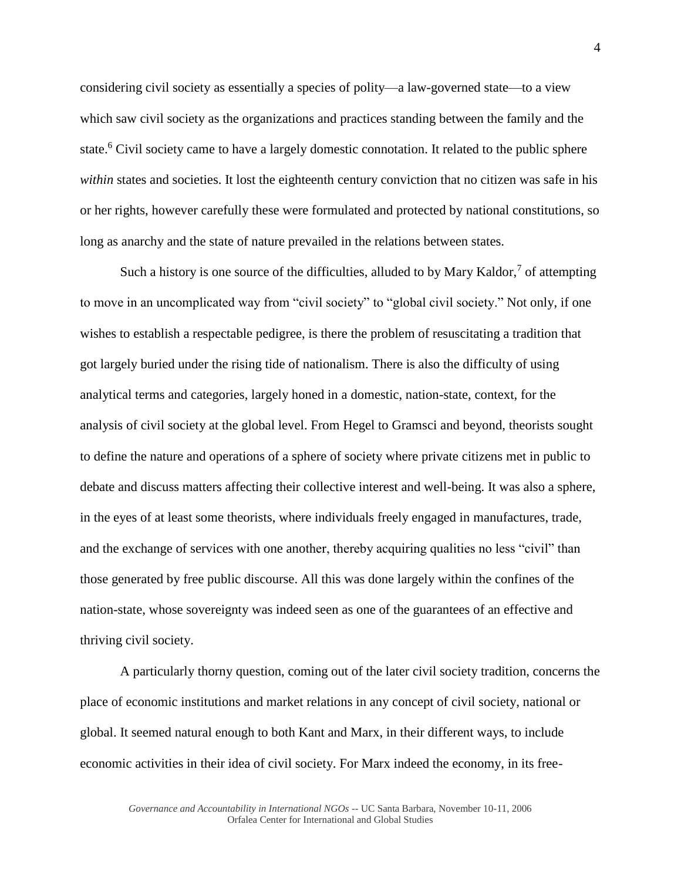considering civil society as essentially a species of polity—a law-governed state—to a view which saw civil society as the organizations and practices standing between the family and the state.<sup>6</sup> Civil society came to have a largely domestic connotation. It related to the public sphere *within* states and societies. It lost the eighteenth century conviction that no citizen was safe in his or her rights, however carefully these were formulated and protected by national constitutions, so long as anarchy and the state of nature prevailed in the relations between states.

Such a history is one source of the difficulties, alluded to by Mary Kaldor,<sup>7</sup> of attempting to move in an uncomplicated way from "civil society" to "global civil society." Not only, if one wishes to establish a respectable pedigree, is there the problem of resuscitating a tradition that got largely buried under the rising tide of nationalism. There is also the difficulty of using analytical terms and categories, largely honed in a domestic, nation-state, context, for the analysis of civil society at the global level. From Hegel to Gramsci and beyond, theorists sought to define the nature and operations of a sphere of society where private citizens met in public to debate and discuss matters affecting their collective interest and well-being. It was also a sphere, in the eyes of at least some theorists, where individuals freely engaged in manufactures, trade, and the exchange of services with one another, thereby acquiring qualities no less "civil" than those generated by free public discourse. All this was done largely within the confines of the nation-state, whose sovereignty was indeed seen as one of the guarantees of an effective and thriving civil society.

A particularly thorny question, coming out of the later civil society tradition, concerns the place of economic institutions and market relations in any concept of civil society, national or global. It seemed natural enough to both Kant and Marx, in their different ways, to include economic activities in their idea of civil society. For Marx indeed the economy, in its free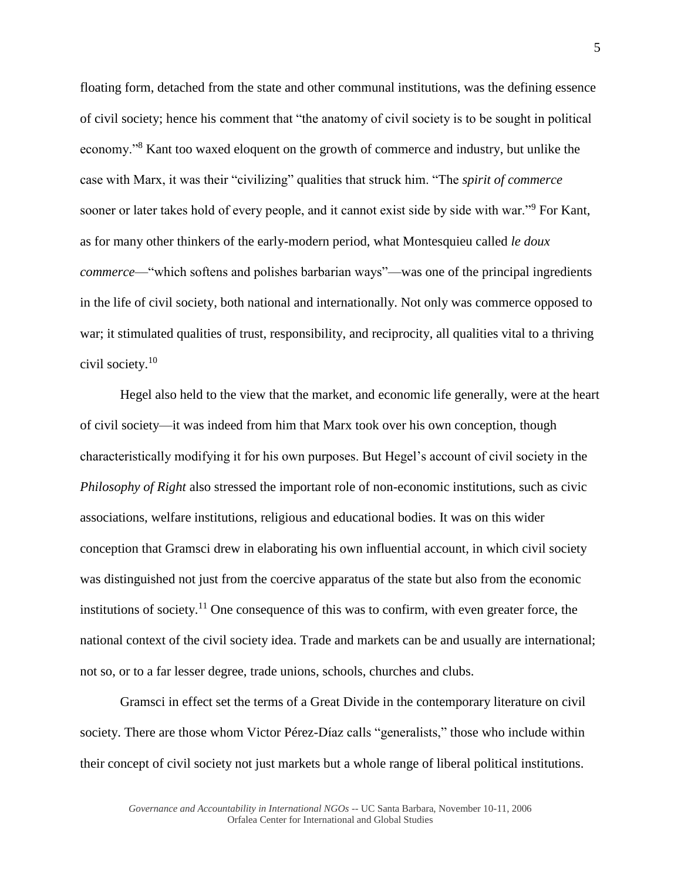floating form, detached from the state and other communal institutions, was the defining essence of civil society; hence his comment that "the anatomy of civil society is to be sought in political economy."<sup>8</sup> Kant too waxed eloquent on the growth of commerce and industry, but unlike the case with Marx, it was their "civilizing" qualities that struck him. "The *spirit of commerce* sooner or later takes hold of every people, and it cannot exist side by side with war."<sup>9</sup> For Kant, as for many other thinkers of the early-modern period, what Montesquieu called *le doux commerce*—"which softens and polishes barbarian ways"—was one of the principal ingredients in the life of civil society, both national and internationally. Not only was commerce opposed to war; it stimulated qualities of trust, responsibility, and reciprocity, all qualities vital to a thriving civil society.<sup>10</sup>

Hegel also held to the view that the market, and economic life generally, were at the heart of civil society—it was indeed from him that Marx took over his own conception, though characteristically modifying it for his own purposes. But Hegel's account of civil society in the *Philosophy of Right* also stressed the important role of non-economic institutions, such as civic associations, welfare institutions, religious and educational bodies. It was on this wider conception that Gramsci drew in elaborating his own influential account, in which civil society was distinguished not just from the coercive apparatus of the state but also from the economic institutions of society.<sup>11</sup> One consequence of this was to confirm, with even greater force, the national context of the civil society idea. Trade and markets can be and usually are international; not so, or to a far lesser degree, trade unions, schools, churches and clubs.

Gramsci in effect set the terms of a Great Divide in the contemporary literature on civil society. There are those whom Victor Pérez-Díaz calls "generalists," those who include within their concept of civil society not just markets but a whole range of liberal political institutions.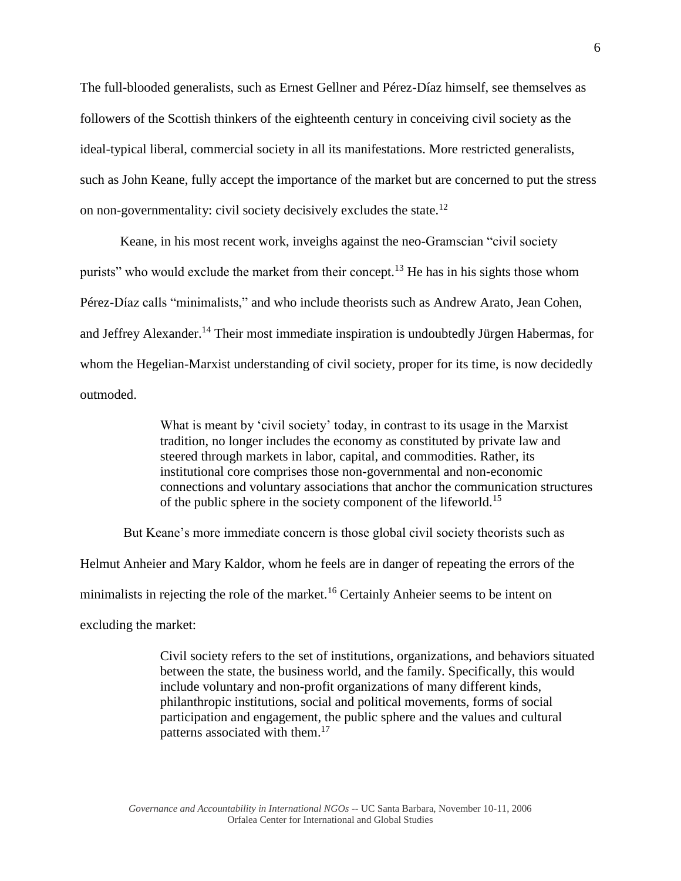The full-blooded generalists, such as Ernest Gellner and Pérez-Díaz himself, see themselves as followers of the Scottish thinkers of the eighteenth century in conceiving civil society as the ideal-typical liberal, commercial society in all its manifestations. More restricted generalists, such as John Keane, fully accept the importance of the market but are concerned to put the stress on non-governmentality: civil society decisively excludes the state.<sup>12</sup>

Keane, in his most recent work, inveighs against the neo-Gramscian "civil society purists" who would exclude the market from their concept.<sup>13</sup> He has in his sights those whom Pérez-Díaz calls "minimalists," and who include theorists such as Andrew Arato, Jean Cohen, and Jeffrey Alexander.<sup>14</sup> Their most immediate inspiration is undoubtedly Jürgen Habermas, for whom the Hegelian-Marxist understanding of civil society, proper for its time, is now decidedly outmoded.

> What is meant by 'civil society' today, in contrast to its usage in the Marxist tradition, no longer includes the economy as constituted by private law and steered through markets in labor, capital, and commodities. Rather, its institutional core comprises those non-governmental and non-economic connections and voluntary associations that anchor the communication structures of the public sphere in the society component of the lifeworld.<sup>15</sup>

But Keane's more immediate concern is those global civil society theorists such as Helmut Anheier and Mary Kaldor, whom he feels are in danger of repeating the errors of the minimalists in rejecting the role of the market.<sup>16</sup> Certainly Anheier seems to be intent on excluding the market:

> Civil society refers to the set of institutions, organizations, and behaviors situated between the state, the business world, and the family. Specifically, this would include voluntary and non-profit organizations of many different kinds, philanthropic institutions, social and political movements, forms of social participation and engagement, the public sphere and the values and cultural patterns associated with them.<sup>17</sup>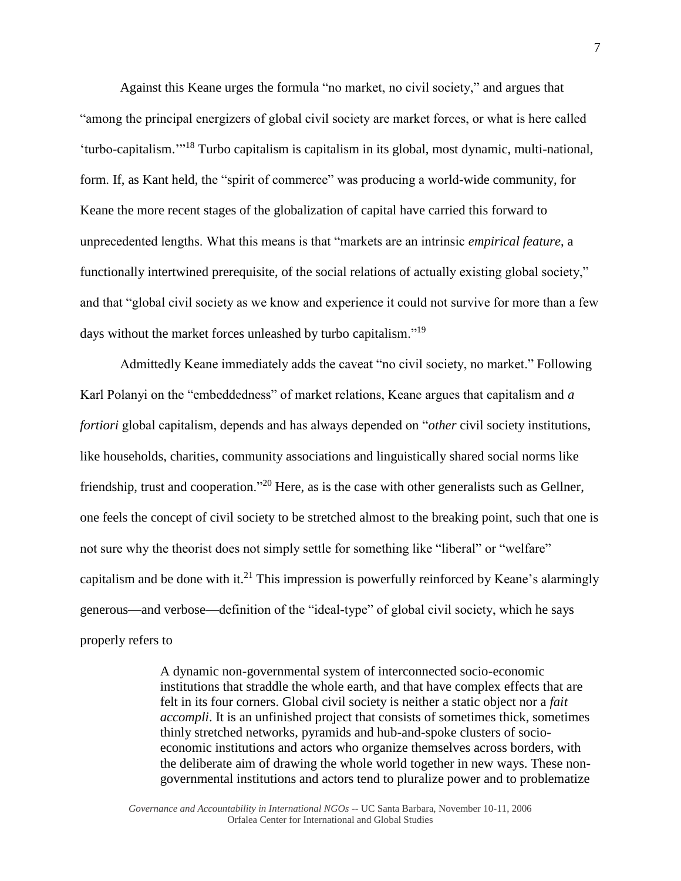Against this Keane urges the formula "no market, no civil society," and argues that "among the principal energizers of global civil society are market forces, or what is here called 'turbo-capitalism.'" <sup>18</sup> Turbo capitalism is capitalism in its global, most dynamic, multi-national, form. If, as Kant held, the "spirit of commerce" was producing a world-wide community, for Keane the more recent stages of the globalization of capital have carried this forward to unprecedented lengths. What this means is that "markets are an intrinsic *empirical feature*, a functionally intertwined prerequisite, of the social relations of actually existing global society," and that "global civil society as we know and experience it could not survive for more than a few days without the market forces unleashed by turbo capitalism."<sup>19</sup>

Admittedly Keane immediately adds the caveat "no civil society, no market." Following Karl Polanyi on the "embeddedness" of market relations, Keane argues that capitalism and *a fortiori* global capitalism, depends and has always depended on "*other* civil society institutions, like households, charities, community associations and linguistically shared social norms like friendship, trust and cooperation."<sup>20</sup> Here, as is the case with other generalists such as Gellner, one feels the concept of civil society to be stretched almost to the breaking point, such that one is not sure why the theorist does not simply settle for something like "liberal" or "welfare" capitalism and be done with it.<sup>21</sup> This impression is powerfully reinforced by Keane's alarmingly generous—and verbose—definition of the "ideal-type" of global civil society, which he says properly refers to

> A dynamic non-governmental system of interconnected socio-economic institutions that straddle the whole earth, and that have complex effects that are felt in its four corners. Global civil society is neither a static object nor a *fait accompli*. It is an unfinished project that consists of sometimes thick, sometimes thinly stretched networks, pyramids and hub-and-spoke clusters of socioeconomic institutions and actors who organize themselves across borders, with the deliberate aim of drawing the whole world together in new ways. These nongovernmental institutions and actors tend to pluralize power and to problematize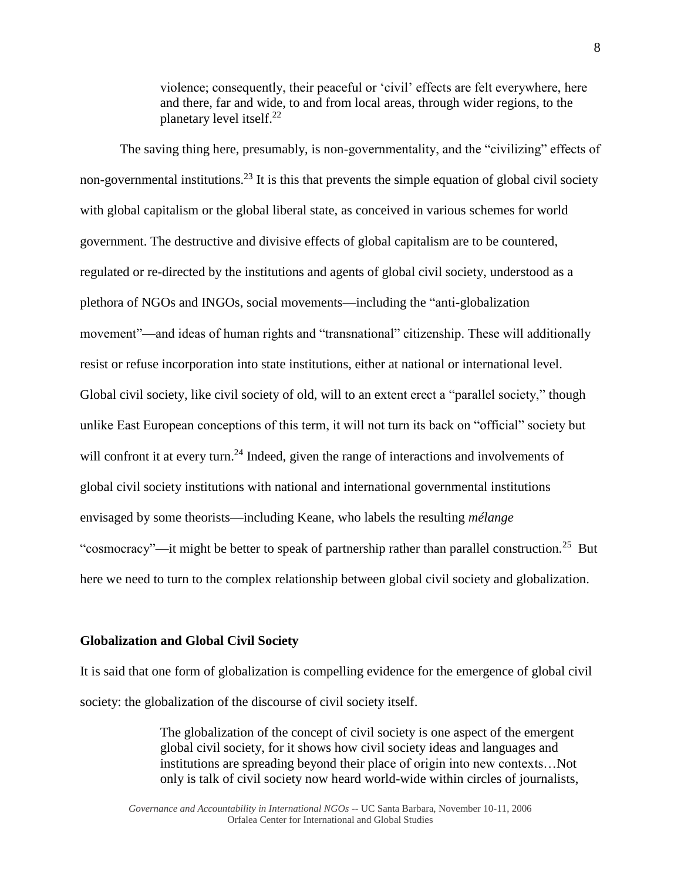violence; consequently, their peaceful or 'civil' effects are felt everywhere, here and there, far and wide, to and from local areas, through wider regions, to the planetary level itself. 22

The saving thing here, presumably, is non-governmentality, and the "civilizing" effects of non-governmental institutions.<sup>23</sup> It is this that prevents the simple equation of global civil society with global capitalism or the global liberal state, as conceived in various schemes for world government. The destructive and divisive effects of global capitalism are to be countered, regulated or re-directed by the institutions and agents of global civil society, understood as a plethora of NGOs and INGOs, social movements—including the "anti-globalization movement"—and ideas of human rights and "transnational" citizenship. These will additionally resist or refuse incorporation into state institutions, either at national or international level. Global civil society, like civil society of old, will to an extent erect a "parallel society," though unlike East European conceptions of this term, it will not turn its back on "official" society but will confront it at every turn.<sup>24</sup> Indeed, given the range of interactions and involvements of global civil society institutions with national and international governmental institutions envisaged by some theorists—including Keane, who labels the resulting *mélange* "cosmocracy"—it might be better to speak of partnership rather than parallel construction.<sup>25</sup> But here we need to turn to the complex relationship between global civil society and globalization.

### **Globalization and Global Civil Society**

It is said that one form of globalization is compelling evidence for the emergence of global civil society: the globalization of the discourse of civil society itself.

> The globalization of the concept of civil society is one aspect of the emergent global civil society, for it shows how civil society ideas and languages and institutions are spreading beyond their place of origin into new contexts…Not only is talk of civil society now heard world-wide within circles of journalists,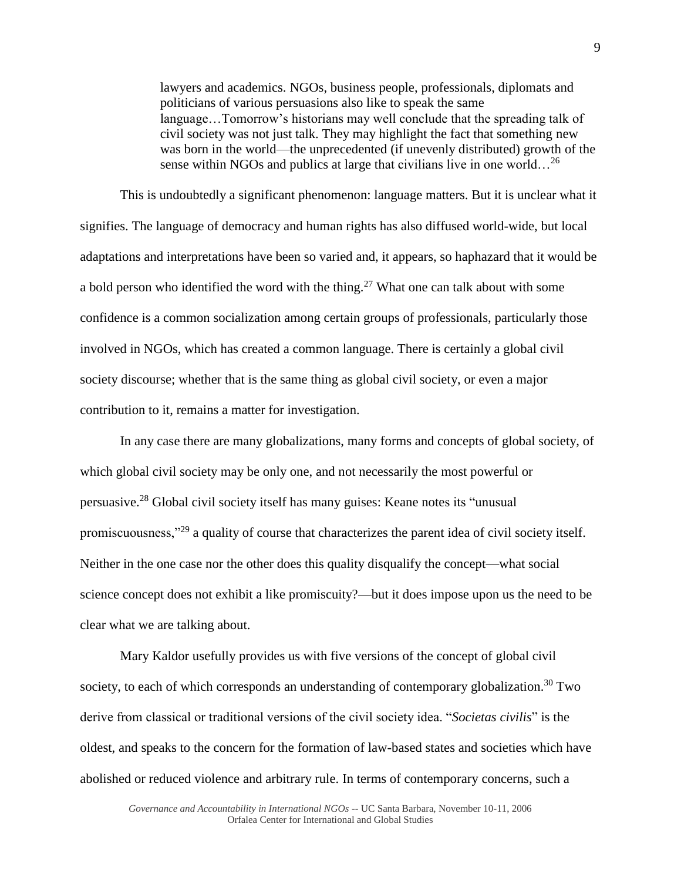lawyers and academics. NGOs, business people, professionals, diplomats and politicians of various persuasions also like to speak the same language…Tomorrow's historians may well conclude that the spreading talk of civil society was not just talk. They may highlight the fact that something new was born in the world—the unprecedented (if unevenly distributed) growth of the sense within NGOs and publics at large that civilians live in one world…<sup>26</sup>

This is undoubtedly a significant phenomenon: language matters. But it is unclear what it signifies. The language of democracy and human rights has also diffused world-wide, but local adaptations and interpretations have been so varied and, it appears, so haphazard that it would be a bold person who identified the word with the thing.<sup>27</sup> What one can talk about with some confidence is a common socialization among certain groups of professionals, particularly those involved in NGOs, which has created a common language. There is certainly a global civil society discourse; whether that is the same thing as global civil society, or even a major contribution to it, remains a matter for investigation.

In any case there are many globalizations, many forms and concepts of global society, of which global civil society may be only one, and not necessarily the most powerful or persuasive.<sup>28</sup> Global civil society itself has many guises: Keane notes its "unusual promiscuousness,"<sup>29</sup> a quality of course that characterizes the parent idea of civil society itself. Neither in the one case nor the other does this quality disqualify the concept—what social science concept does not exhibit a like promiscuity?—but it does impose upon us the need to be clear what we are talking about.

Mary Kaldor usefully provides us with five versions of the concept of global civil society, to each of which corresponds an understanding of contemporary globalization.<sup>30</sup> Two derive from classical or traditional versions of the civil society idea. "*Societas civilis*" is the oldest, and speaks to the concern for the formation of law-based states and societies which have abolished or reduced violence and arbitrary rule. In terms of contemporary concerns, such a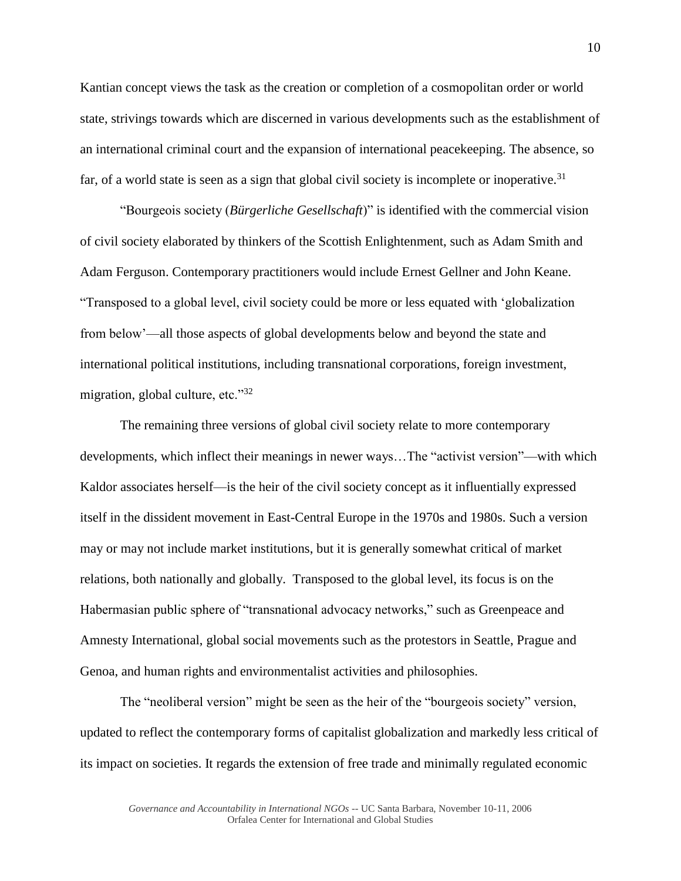Kantian concept views the task as the creation or completion of a cosmopolitan order or world state, strivings towards which are discerned in various developments such as the establishment of an international criminal court and the expansion of international peacekeeping. The absence, so far, of a world state is seen as a sign that global civil society is incomplete or inoperative.<sup>31</sup>

"Bourgeois society (*Bürgerliche Gesellschaft*)" is identified with the commercial vision of civil society elaborated by thinkers of the Scottish Enlightenment, such as Adam Smith and Adam Ferguson. Contemporary practitioners would include Ernest Gellner and John Keane. "Transposed to a global level, civil society could be more or less equated with 'globalization from below'—all those aspects of global developments below and beyond the state and international political institutions, including transnational corporations, foreign investment, migration, global culture, etc."<sup>32</sup>

The remaining three versions of global civil society relate to more contemporary developments, which inflect their meanings in newer ways…The "activist version"—with which Kaldor associates herself—is the heir of the civil society concept as it influentially expressed itself in the dissident movement in East-Central Europe in the 1970s and 1980s. Such a version may or may not include market institutions, but it is generally somewhat critical of market relations, both nationally and globally. Transposed to the global level, its focus is on the Habermasian public sphere of "transnational advocacy networks," such as Greenpeace and Amnesty International, global social movements such as the protestors in Seattle, Prague and Genoa, and human rights and environmentalist activities and philosophies.

The "neoliberal version" might be seen as the heir of the "bourgeois society" version, updated to reflect the contemporary forms of capitalist globalization and markedly less critical of its impact on societies. It regards the extension of free trade and minimally regulated economic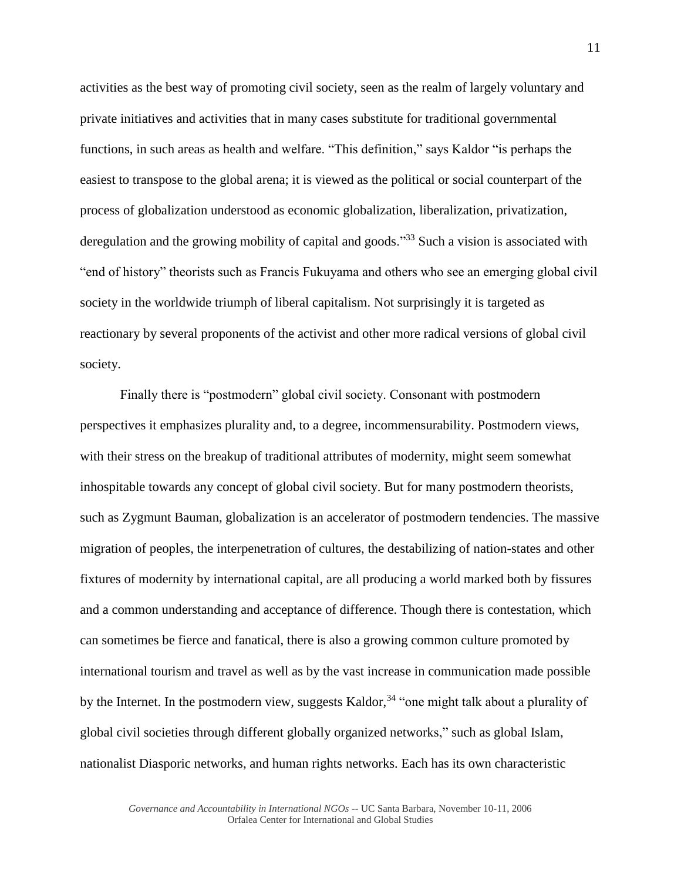activities as the best way of promoting civil society, seen as the realm of largely voluntary and private initiatives and activities that in many cases substitute for traditional governmental functions, in such areas as health and welfare. "This definition," says Kaldor "is perhaps the easiest to transpose to the global arena; it is viewed as the political or social counterpart of the process of globalization understood as economic globalization, liberalization, privatization, deregulation and the growing mobility of capital and goods."<sup>33</sup> Such a vision is associated with "end of history" theorists such as Francis Fukuyama and others who see an emerging global civil society in the worldwide triumph of liberal capitalism. Not surprisingly it is targeted as reactionary by several proponents of the activist and other more radical versions of global civil society.

Finally there is "postmodern" global civil society. Consonant with postmodern perspectives it emphasizes plurality and, to a degree, incommensurability. Postmodern views, with their stress on the breakup of traditional attributes of modernity, might seem somewhat inhospitable towards any concept of global civil society. But for many postmodern theorists, such as Zygmunt Bauman, globalization is an accelerator of postmodern tendencies. The massive migration of peoples, the interpenetration of cultures, the destabilizing of nation-states and other fixtures of modernity by international capital, are all producing a world marked both by fissures and a common understanding and acceptance of difference. Though there is contestation, which can sometimes be fierce and fanatical, there is also a growing common culture promoted by international tourism and travel as well as by the vast increase in communication made possible by the Internet. In the postmodern view, suggests Kaldor,<sup>34</sup> "one might talk about a plurality of global civil societies through different globally organized networks," such as global Islam, nationalist Diasporic networks, and human rights networks. Each has its own characteristic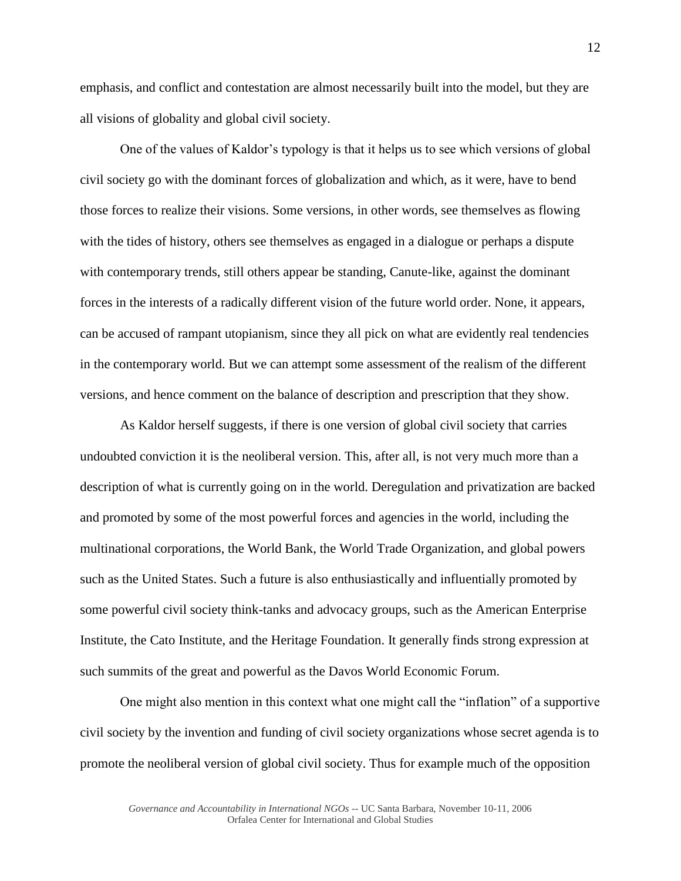emphasis, and conflict and contestation are almost necessarily built into the model, but they are all visions of globality and global civil society.

One of the values of Kaldor's typology is that it helps us to see which versions of global civil society go with the dominant forces of globalization and which, as it were, have to bend those forces to realize their visions. Some versions, in other words, see themselves as flowing with the tides of history, others see themselves as engaged in a dialogue or perhaps a dispute with contemporary trends, still others appear be standing, Canute-like, against the dominant forces in the interests of a radically different vision of the future world order. None, it appears, can be accused of rampant utopianism, since they all pick on what are evidently real tendencies in the contemporary world. But we can attempt some assessment of the realism of the different versions, and hence comment on the balance of description and prescription that they show.

As Kaldor herself suggests, if there is one version of global civil society that carries undoubted conviction it is the neoliberal version. This, after all, is not very much more than a description of what is currently going on in the world. Deregulation and privatization are backed and promoted by some of the most powerful forces and agencies in the world, including the multinational corporations, the World Bank, the World Trade Organization, and global powers such as the United States. Such a future is also enthusiastically and influentially promoted by some powerful civil society think-tanks and advocacy groups, such as the American Enterprise Institute, the Cato Institute, and the Heritage Foundation. It generally finds strong expression at such summits of the great and powerful as the Davos World Economic Forum.

One might also mention in this context what one might call the "inflation" of a supportive civil society by the invention and funding of civil society organizations whose secret agenda is to promote the neoliberal version of global civil society. Thus for example much of the opposition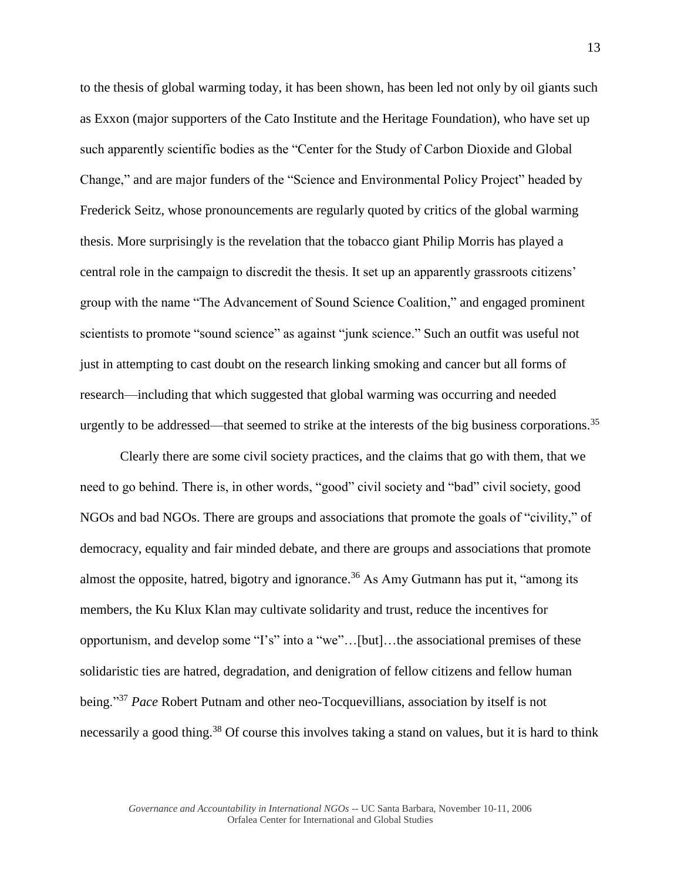to the thesis of global warming today, it has been shown, has been led not only by oil giants such as Exxon (major supporters of the Cato Institute and the Heritage Foundation), who have set up such apparently scientific bodies as the "Center for the Study of Carbon Dioxide and Global Change," and are major funders of the "Science and Environmental Policy Project" headed by Frederick Seitz, whose pronouncements are regularly quoted by critics of the global warming thesis. More surprisingly is the revelation that the tobacco giant Philip Morris has played a central role in the campaign to discredit the thesis. It set up an apparently grassroots citizens' group with the name "The Advancement of Sound Science Coalition," and engaged prominent scientists to promote "sound science" as against "junk science." Such an outfit was useful not just in attempting to cast doubt on the research linking smoking and cancer but all forms of research—including that which suggested that global warming was occurring and needed urgently to be addressed—that seemed to strike at the interests of the big business corporations.<sup>35</sup>

Clearly there are some civil society practices, and the claims that go with them, that we need to go behind. There is, in other words, "good" civil society and "bad" civil society, good NGOs and bad NGOs. There are groups and associations that promote the goals of "civility," of democracy, equality and fair minded debate, and there are groups and associations that promote almost the opposite, hatred, bigotry and ignorance.<sup>36</sup> As Amy Gutmann has put it, "among its members, the Ku Klux Klan may cultivate solidarity and trust, reduce the incentives for opportunism, and develop some "I's" into a "we"…[but]…the associational premises of these solidaristic ties are hatred, degradation, and denigration of fellow citizens and fellow human being."<sup>37</sup> *Pace* Robert Putnam and other neo-Tocquevillians, association by itself is not necessarily a good thing.<sup>38</sup> Of course this involves taking a stand on values, but it is hard to think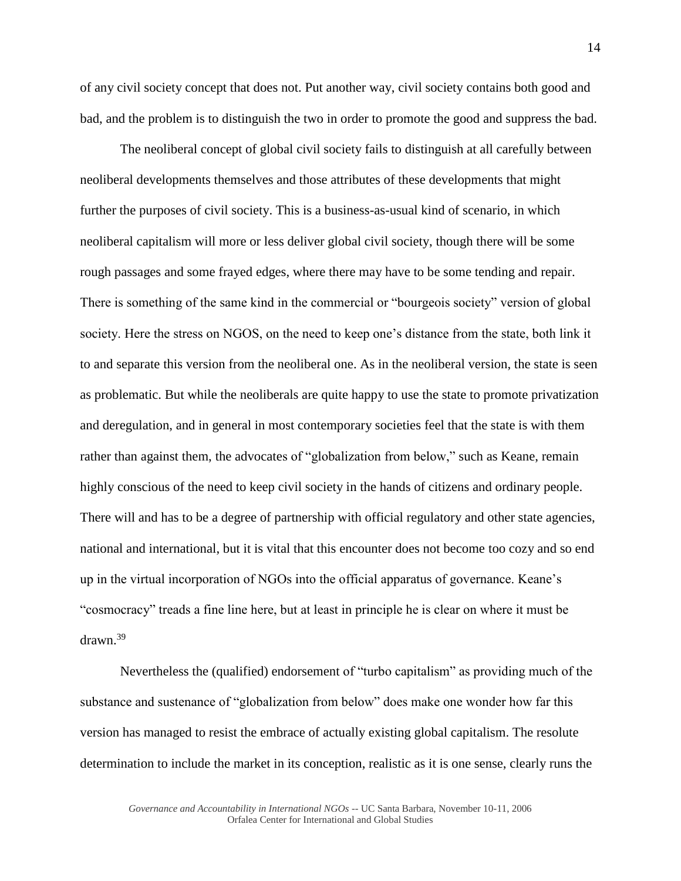of any civil society concept that does not. Put another way, civil society contains both good and bad, and the problem is to distinguish the two in order to promote the good and suppress the bad.

The neoliberal concept of global civil society fails to distinguish at all carefully between neoliberal developments themselves and those attributes of these developments that might further the purposes of civil society. This is a business-as-usual kind of scenario, in which neoliberal capitalism will more or less deliver global civil society, though there will be some rough passages and some frayed edges, where there may have to be some tending and repair. There is something of the same kind in the commercial or "bourgeois society" version of global society. Here the stress on NGOS, on the need to keep one's distance from the state, both link it to and separate this version from the neoliberal one. As in the neoliberal version, the state is seen as problematic. But while the neoliberals are quite happy to use the state to promote privatization and deregulation, and in general in most contemporary societies feel that the state is with them rather than against them, the advocates of "globalization from below," such as Keane, remain highly conscious of the need to keep civil society in the hands of citizens and ordinary people. There will and has to be a degree of partnership with official regulatory and other state agencies, national and international, but it is vital that this encounter does not become too cozy and so end up in the virtual incorporation of NGOs into the official apparatus of governance. Keane's "cosmocracy" treads a fine line here, but at least in principle he is clear on where it must be drawn.<sup>39</sup>

Nevertheless the (qualified) endorsement of "turbo capitalism" as providing much of the substance and sustenance of "globalization from below" does make one wonder how far this version has managed to resist the embrace of actually existing global capitalism. The resolute determination to include the market in its conception, realistic as it is one sense, clearly runs the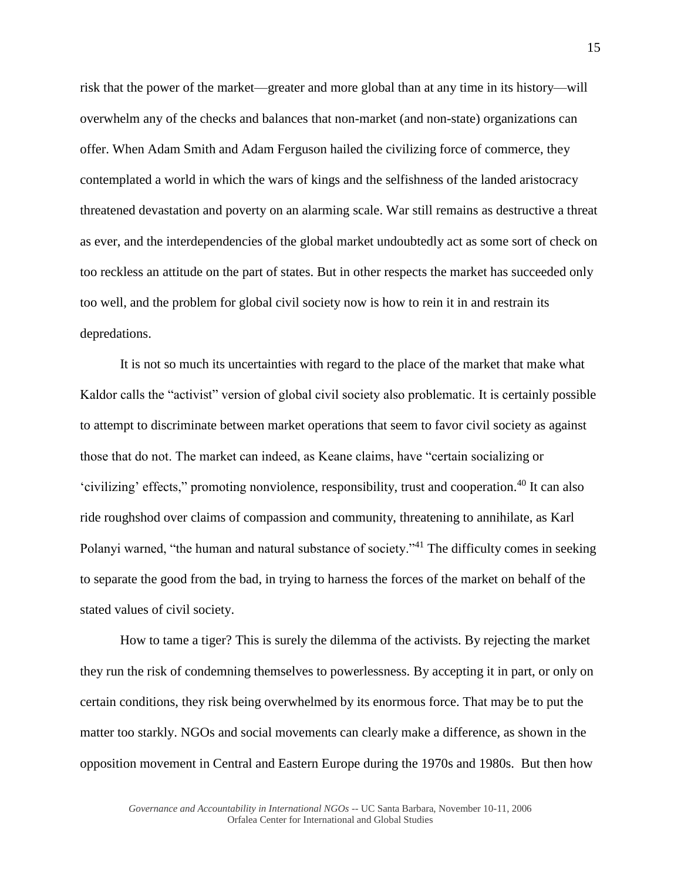risk that the power of the market—greater and more global than at any time in its history—will overwhelm any of the checks and balances that non-market (and non-state) organizations can offer. When Adam Smith and Adam Ferguson hailed the civilizing force of commerce, they contemplated a world in which the wars of kings and the selfishness of the landed aristocracy threatened devastation and poverty on an alarming scale. War still remains as destructive a threat as ever, and the interdependencies of the global market undoubtedly act as some sort of check on too reckless an attitude on the part of states. But in other respects the market has succeeded only too well, and the problem for global civil society now is how to rein it in and restrain its depredations.

It is not so much its uncertainties with regard to the place of the market that make what Kaldor calls the "activist" version of global civil society also problematic. It is certainly possible to attempt to discriminate between market operations that seem to favor civil society as against those that do not. The market can indeed, as Keane claims, have "certain socializing or 'civilizing' effects," promoting nonviolence, responsibility, trust and cooperation.<sup>40</sup> It can also ride roughshod over claims of compassion and community, threatening to annihilate, as Karl Polanyi warned, "the human and natural substance of society."<sup>41</sup> The difficulty comes in seeking to separate the good from the bad, in trying to harness the forces of the market on behalf of the stated values of civil society.

How to tame a tiger? This is surely the dilemma of the activists. By rejecting the market they run the risk of condemning themselves to powerlessness. By accepting it in part, or only on certain conditions, they risk being overwhelmed by its enormous force. That may be to put the matter too starkly. NGOs and social movements can clearly make a difference, as shown in the opposition movement in Central and Eastern Europe during the 1970s and 1980s. But then how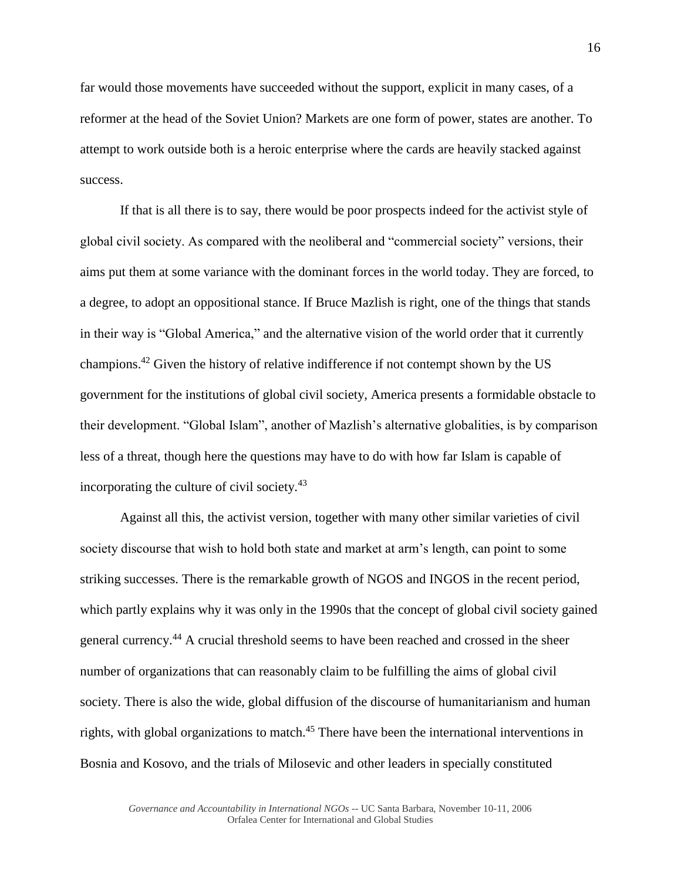far would those movements have succeeded without the support, explicit in many cases, of a reformer at the head of the Soviet Union? Markets are one form of power, states are another. To attempt to work outside both is a heroic enterprise where the cards are heavily stacked against success.

If that is all there is to say, there would be poor prospects indeed for the activist style of global civil society. As compared with the neoliberal and "commercial society" versions, their aims put them at some variance with the dominant forces in the world today. They are forced, to a degree, to adopt an oppositional stance. If Bruce Mazlish is right, one of the things that stands in their way is "Global America," and the alternative vision of the world order that it currently champions.<sup>42</sup> Given the history of relative indifference if not contempt shown by the US government for the institutions of global civil society, America presents a formidable obstacle to their development. "Global Islam", another of Mazlish's alternative globalities, is by comparison less of a threat, though here the questions may have to do with how far Islam is capable of incorporating the culture of civil society.<sup>43</sup>

Against all this, the activist version, together with many other similar varieties of civil society discourse that wish to hold both state and market at arm's length, can point to some striking successes. There is the remarkable growth of NGOS and INGOS in the recent period, which partly explains why it was only in the 1990s that the concept of global civil society gained general currency.<sup>44</sup> A crucial threshold seems to have been reached and crossed in the sheer number of organizations that can reasonably claim to be fulfilling the aims of global civil society. There is also the wide, global diffusion of the discourse of humanitarianism and human rights, with global organizations to match.<sup>45</sup> There have been the international interventions in Bosnia and Kosovo, and the trials of Milosevic and other leaders in specially constituted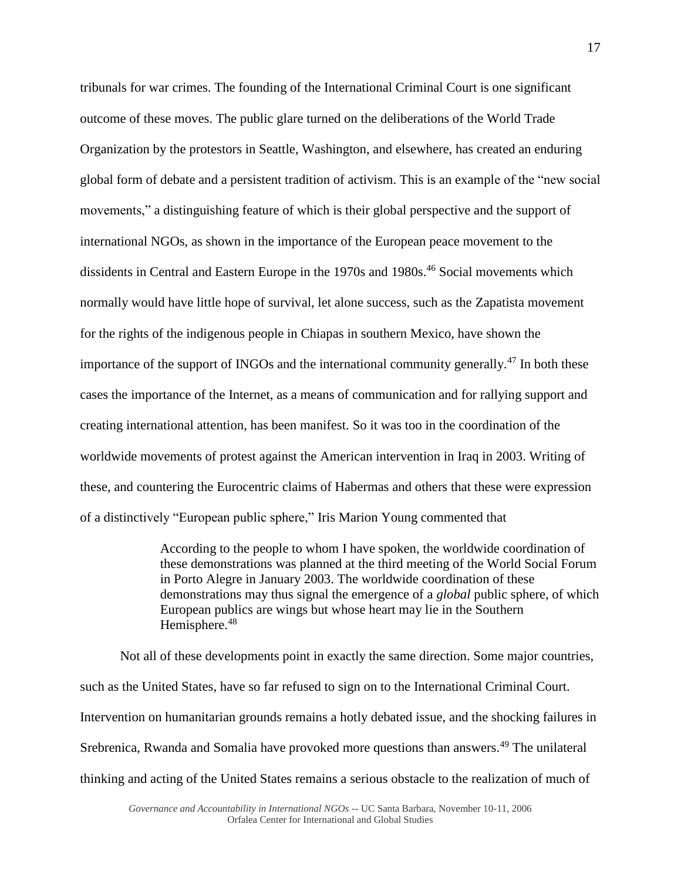tribunals for war crimes. The founding of the International Criminal Court is one significant outcome of these moves. The public glare turned on the deliberations of the World Trade Organization by the protestors in Seattle, Washington, and elsewhere, has created an enduring global form of debate and a persistent tradition of activism. This is an example of the "new social movements," a distinguishing feature of which is their global perspective and the support of international NGOs, as shown in the importance of the European peace movement to the dissidents in Central and Eastern Europe in the 1970s and 1980s.<sup>46</sup> Social movements which normally would have little hope of survival, let alone success, such as the Zapatista movement for the rights of the indigenous people in Chiapas in southern Mexico, have shown the importance of the support of INGOs and the international community generally.<sup>47</sup> In both these cases the importance of the Internet, as a means of communication and for rallying support and creating international attention, has been manifest. So it was too in the coordination of the worldwide movements of protest against the American intervention in Iraq in 2003. Writing of these, and countering the Eurocentric claims of Habermas and others that these were expression of a distinctively "European public sphere," Iris Marion Young commented that

> According to the people to whom I have spoken, the worldwide coordination of these demonstrations was planned at the third meeting of the World Social Forum in Porto Alegre in January 2003. The worldwide coordination of these demonstrations may thus signal the emergence of a *global* public sphere, of which European publics are wings but whose heart may lie in the Southern Hemisphere.<sup>48</sup>

Not all of these developments point in exactly the same direction. Some major countries, such as the United States, have so far refused to sign on to the International Criminal Court. Intervention on humanitarian grounds remains a hotly debated issue, and the shocking failures in Srebrenica, Rwanda and Somalia have provoked more questions than answers.<sup>49</sup> The unilateral thinking and acting of the United States remains a serious obstacle to the realization of much of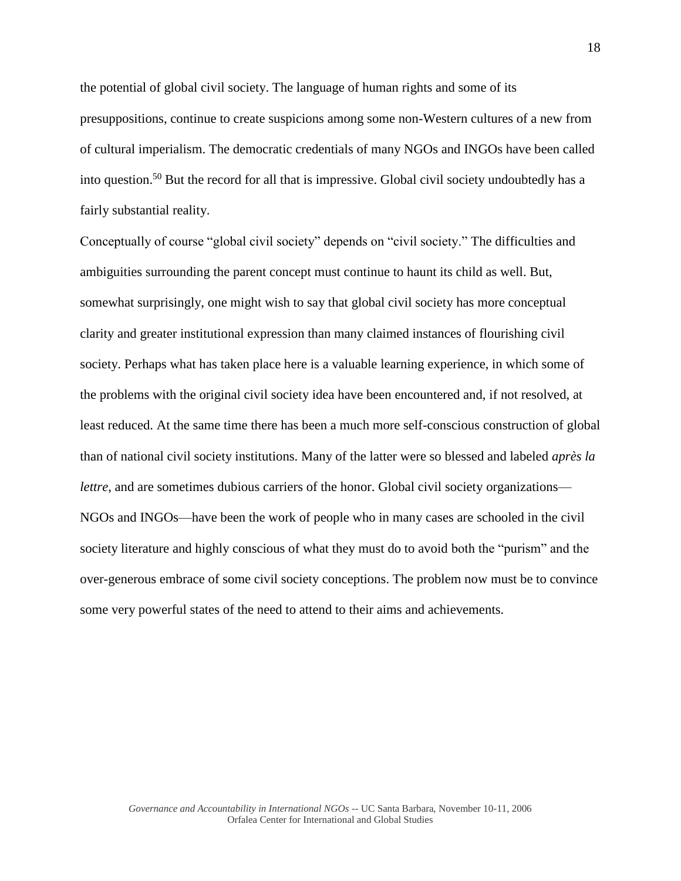the potential of global civil society. The language of human rights and some of its presuppositions, continue to create suspicions among some non-Western cultures of a new from of cultural imperialism. The democratic credentials of many NGOs and INGOs have been called into question.<sup>50</sup> But the record for all that is impressive. Global civil society undoubtedly has a fairly substantial reality.

Conceptually of course "global civil society" depends on "civil society." The difficulties and ambiguities surrounding the parent concept must continue to haunt its child as well. But, somewhat surprisingly, one might wish to say that global civil society has more conceptual clarity and greater institutional expression than many claimed instances of flourishing civil society. Perhaps what has taken place here is a valuable learning experience, in which some of the problems with the original civil society idea have been encountered and, if not resolved, at least reduced. At the same time there has been a much more self-conscious construction of global than of national civil society institutions. Many of the latter were so blessed and labeled *après la lettre*, and are sometimes dubious carriers of the honor. Global civil society organizations— NGOs and INGOs—have been the work of people who in many cases are schooled in the civil society literature and highly conscious of what they must do to avoid both the "purism" and the over-generous embrace of some civil society conceptions. The problem now must be to convince some very powerful states of the need to attend to their aims and achievements.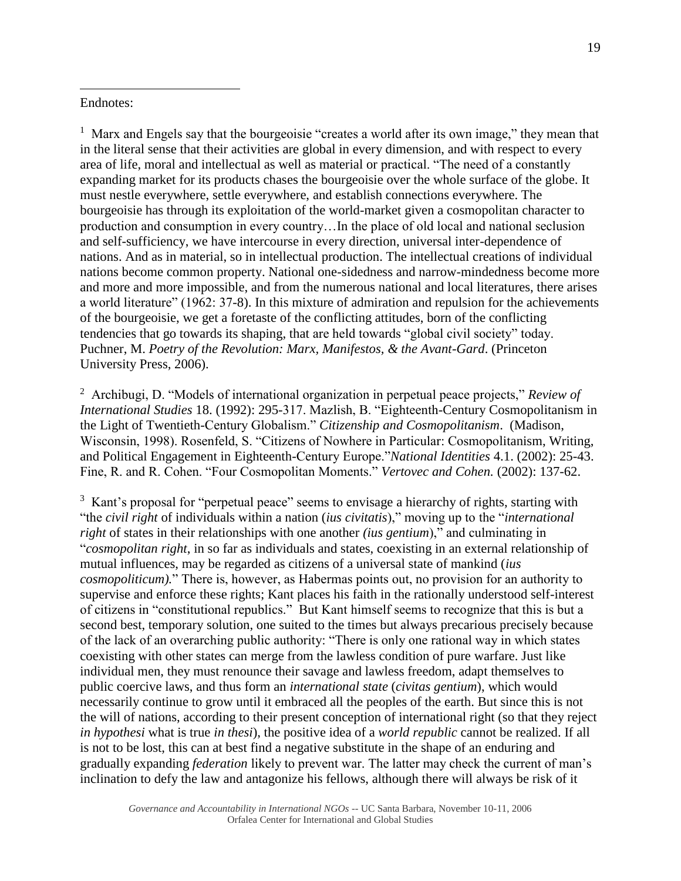Endnotes:

 $\overline{a}$ 

<sup>1</sup> Marx and Engels say that the bourgeoisie "creates a world after its own image," they mean that in the literal sense that their activities are global in every dimension, and with respect to every area of life, moral and intellectual as well as material or practical. "The need of a constantly expanding market for its products chases the bourgeoisie over the whole surface of the globe. It must nestle everywhere, settle everywhere, and establish connections everywhere. The bourgeoisie has through its exploitation of the world-market given a cosmopolitan character to production and consumption in every country…In the place of old local and national seclusion and self-sufficiency, we have intercourse in every direction, universal inter-dependence of nations. And as in material, so in intellectual production. The intellectual creations of individual nations become common property. National one-sidedness and narrow-mindedness become more and more and more impossible, and from the numerous national and local literatures, there arises a world literature" (1962: 37-8). In this mixture of admiration and repulsion for the achievements of the bourgeoisie, we get a foretaste of the conflicting attitudes, born of the conflicting tendencies that go towards its shaping, that are held towards "global civil society" today. Puchner, M. *Poetry of the Revolution: Marx, Manifestos, & the Avant-Gard*. (Princeton University Press, 2006).

2 Archibugi, D. "Models of international organization in perpetual peace projects," *Review of International Studies* 18. (1992): 295-317. Mazlish, B. "Eighteenth-Century Cosmopolitanism in the Light of Twentieth-Century Globalism." *Citizenship and Cosmopolitanism*. (Madison, Wisconsin, 1998). Rosenfeld, S. "Citizens of Nowhere in Particular: Cosmopolitanism, Writing, and Political Engagement in Eighteenth-Century Europe."*National Identities* 4.1. (2002): 25-43. Fine, R. and R. Cohen. "Four Cosmopolitan Moments." *Vertovec and Cohen.* (2002): 137-62.

 $3 \text{ Kant's proposal for }$  "perpetual peace" seems to envisage a hierarchy of rights, starting with "the *civil right* of individuals within a nation (*ius civitatis*)," moving up to the "*international right* of states in their relationships with one another *(ius gentium*)," and culminating in "*cosmopolitan right*, in so far as individuals and states, coexisting in an external relationship of mutual influences, may be regarded as citizens of a universal state of mankind (*ius cosmopoliticum).*" There is, however, as Habermas points out, no provision for an authority to supervise and enforce these rights; Kant places his faith in the rationally understood self-interest of citizens in "constitutional republics." But Kant himself seems to recognize that this is but a second best, temporary solution, one suited to the times but always precarious precisely because of the lack of an overarching public authority: "There is only one rational way in which states coexisting with other states can merge from the lawless condition of pure warfare. Just like individual men, they must renounce their savage and lawless freedom, adapt themselves to public coercive laws, and thus form an *international state* (*civitas gentium*), which would necessarily continue to grow until it embraced all the peoples of the earth. But since this is not the will of nations, according to their present conception of international right (so that they reject *in hypothesi* what is true *in thesi*), the positive idea of a *world republic* cannot be realized. If all is not to be lost, this can at best find a negative substitute in the shape of an enduring and gradually expanding *federation* likely to prevent war. The latter may check the current of man's inclination to defy the law and antagonize his fellows, although there will always be risk of it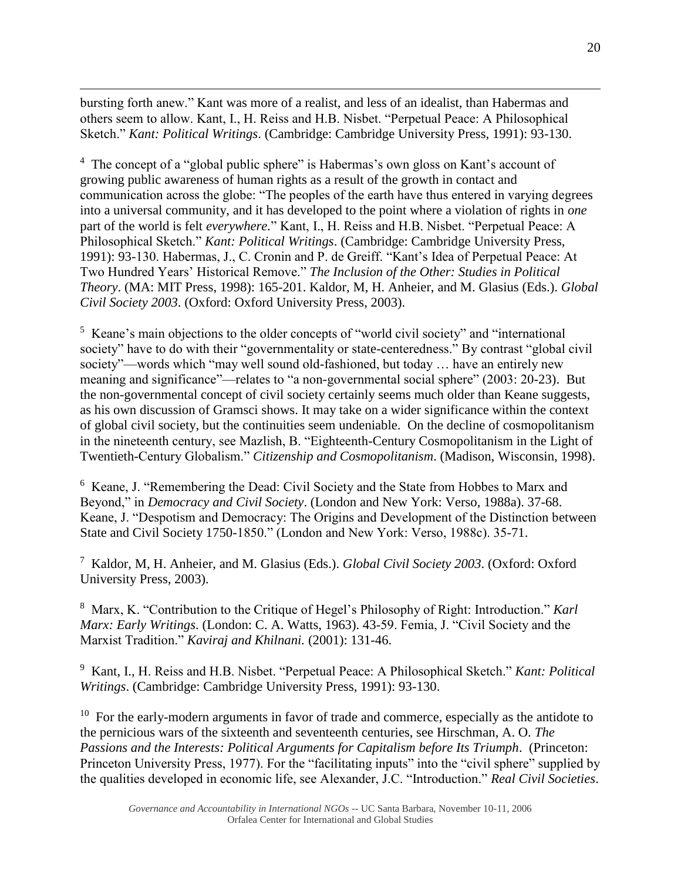bursting forth anew." Kant was more of a realist, and less of an idealist, than Habermas and others seem to allow. Kant, I., H. Reiss and H.B. Nisbet. "Perpetual Peace: A Philosophical Sketch." *Kant: Political Writings*. (Cambridge: Cambridge University Press, 1991): 93-130.

 $\overline{a}$ 

<sup>4</sup> The concept of a "global public sphere" is Habermas's own gloss on Kant's account of growing public awareness of human rights as a result of the growth in contact and communication across the globe: "The peoples of the earth have thus entered in varying degrees into a universal community, and it has developed to the point where a violation of rights in *one* part of the world is felt *everywhere.*" Kant, I., H. Reiss and H.B. Nisbet. "Perpetual Peace: A Philosophical Sketch." *Kant: Political Writings*. (Cambridge: Cambridge University Press, 1991): 93-130. Habermas, J., C. Cronin and P. de Greiff. "Kant's Idea of Perpetual Peace: At Two Hundred Years' Historical Remove." *The Inclusion of the Other: Studies in Political Theory*. (MA: MIT Press, 1998): 165-201. Kaldor, M, H. Anheier, and M. Glasius (Eds.). *Global Civil Society 2003*. (Oxford: Oxford University Press, 2003).

<sup>5</sup> Keane's main objections to the older concepts of "world civil society" and "international society" have to do with their "governmentality or state-centeredness." By contrast "global civil society"—words which "may well sound old-fashioned, but today … have an entirely new meaning and significance"—relates to "a non-governmental social sphere" (2003: 20-23). But the non-governmental concept of civil society certainly seems much older than Keane suggests, as his own discussion of Gramsci shows. It may take on a wider significance within the context of global civil society, but the continuities seem undeniable. On the decline of cosmopolitanism in the nineteenth century, see Mazlish, B. "Eighteenth-Century Cosmopolitanism in the Light of Twentieth-Century Globalism." *Citizenship and Cosmopolitanism*. (Madison, Wisconsin, 1998).

6 Keane, J. "Remembering the Dead: Civil Society and the State from Hobbes to Marx and Beyond," in *Democracy and Civil Society*. (London and New York: Verso, 1988a). 37-68. Keane, J. "Despotism and Democracy: The Origins and Development of the Distinction between State and Civil Society 1750-1850." (London and New York: Verso, 1988c). 35-71.

7 Kaldor, M, H. Anheier, and M. Glasius (Eds.). *Global Civil Society 2003*. (Oxford: Oxford University Press, 2003).

8 Marx, K. "Contribution to the Critique of Hegel's Philosophy of Right: Introduction." *Karl Marx: Early Writings*. (London: C. A. Watts, 1963). 43-59. Femia, J. "Civil Society and the Marxist Tradition." *Kaviraj and Khilnani.* (2001): 131-46.

9 Kant, I., H. Reiss and H.B. Nisbet. "Perpetual Peace: A Philosophical Sketch." *Kant: Political Writings*. (Cambridge: Cambridge University Press, 1991): 93-130.

<sup>10</sup> For the early-modern arguments in favor of trade and commerce, especially as the antidote to the pernicious wars of the sixteenth and seventeenth centuries, see Hirschman, A. O. *The Passions and the Interests: Political Arguments for Capitalism before Its Triumph*. (Princeton: Princeton University Press, 1977). For the "facilitating inputs" into the "civil sphere" supplied by the qualities developed in economic life, see Alexander, J.C. "Introduction." *Real Civil Societies*.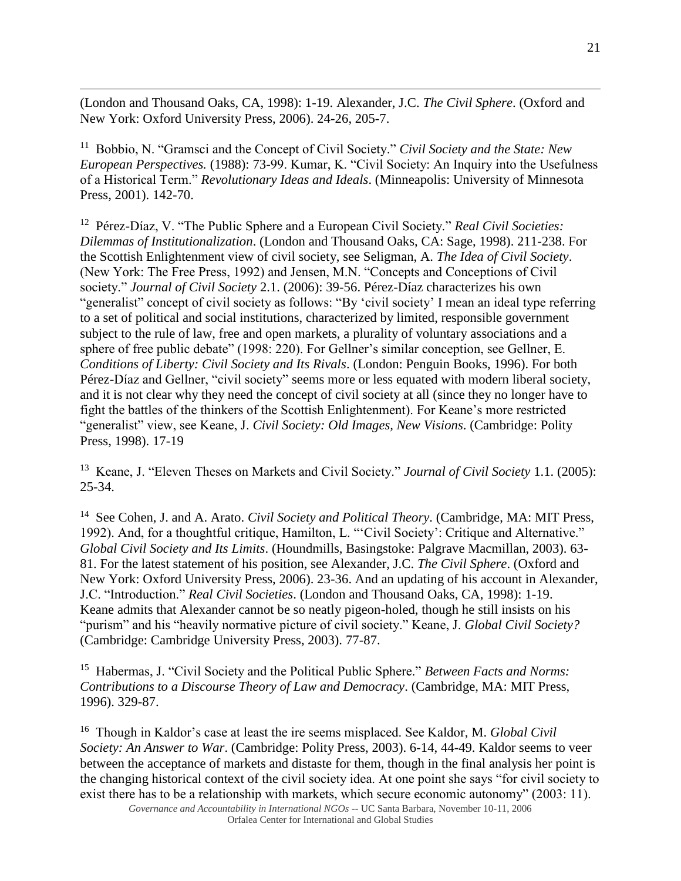(London and Thousand Oaks, CA, 1998): 1-19. Alexander, J.C. *The Civil Sphere*. (Oxford and New York: Oxford University Press, 2006). 24-26, 205-7.

 $\overline{a}$ 

<sup>11</sup> Bobbio, N. "Gramsci and the Concept of Civil Society." *Civil Society and the State: New European Perspectives.* (1988): 73-99. Kumar, K. "Civil Society: An Inquiry into the Usefulness of a Historical Term." *Revolutionary Ideas and Ideals*. (Minneapolis: University of Minnesota Press, 2001). 142-70.

12 Pérez-Díaz, V. "The Public Sphere and a European Civil Society." *Real Civil Societies: Dilemmas of Institutionalization*. (London and Thousand Oaks, CA: Sage, 1998). 211-238. For the Scottish Enlightenment view of civil society, see Seligman, A. *The Idea of Civil Society*. (New York: The Free Press, 1992) and Jensen, M.N. "Concepts and Conceptions of Civil society." *Journal of Civil Society* 2.1. (2006): 39-56. Pérez-Díaz characterizes his own "generalist" concept of civil society as follows: "By 'civil society' I mean an ideal type referring to a set of political and social institutions, characterized by limited, responsible government subject to the rule of law, free and open markets, a plurality of voluntary associations and a sphere of free public debate" (1998: 220). For Gellner's similar conception, see Gellner, E. *Conditions of Liberty: Civil Society and Its Rivals*. (London: Penguin Books, 1996). For both Pérez-Díaz and Gellner, "civil society" seems more or less equated with modern liberal society, and it is not clear why they need the concept of civil society at all (since they no longer have to fight the battles of the thinkers of the Scottish Enlightenment). For Keane's more restricted "generalist" view, see Keane, J. *Civil Society: Old Images, New Visions*. (Cambridge: Polity Press, 1998). 17-19

13 Keane, J. "Eleven Theses on Markets and Civil Society." *Journal of Civil Society* 1.1. (2005): 25-34.

<sup>14</sup> See Cohen, J. and A. Arato. *Civil Society and Political Theory*. (Cambridge, MA: MIT Press, 1992). And, for a thoughtful critique, Hamilton, L. "'Civil Society': Critique and Alternative." *Global Civil Society and Its Limits*. (Houndmills, Basingstoke: Palgrave Macmillan, 2003). 63- 81. For the latest statement of his position, see Alexander, J.C. *The Civil Sphere*. (Oxford and New York: Oxford University Press, 2006). 23-36. And an updating of his account in Alexander, J.C. "Introduction." *Real Civil Societies*. (London and Thousand Oaks, CA, 1998): 1-19. Keane admits that Alexander cannot be so neatly pigeon-holed, though he still insists on his "purism" and his "heavily normative picture of civil society." Keane, J. *Global Civil Society?* (Cambridge: Cambridge University Press, 2003). 77-87.

15 Habermas, J. "Civil Society and the Political Public Sphere." *Between Facts and Norms: Contributions to a Discourse Theory of Law and Democracy*. (Cambridge, MA: MIT Press, 1996). 329-87.

<sup>16</sup> Though in Kaldor's case at least the ire seems misplaced. See Kaldor, M. *Global Civil Society: An Answer to War*. (Cambridge: Polity Press, 2003). 6-14, 44-49. Kaldor seems to veer between the acceptance of markets and distaste for them, though in the final analysis her point is the changing historical context of the civil society idea. At one point she says "for civil society to exist there has to be a relationship with markets, which secure economic autonomy" (2003: 11).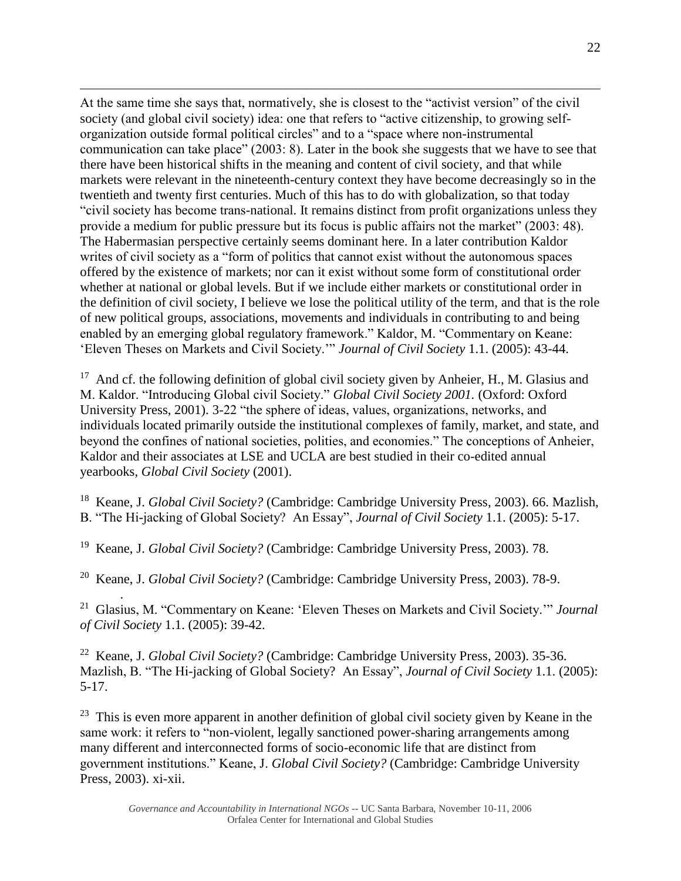At the same time she says that, normatively, she is closest to the "activist version" of the civil society (and global civil society) idea: one that refers to "active citizenship, to growing selforganization outside formal political circles" and to a "space where non-instrumental communication can take place" (2003: 8). Later in the book she suggests that we have to see that there have been historical shifts in the meaning and content of civil society, and that while markets were relevant in the nineteenth-century context they have become decreasingly so in the twentieth and twenty first centuries. Much of this has to do with globalization, so that today "civil society has become trans-national. It remains distinct from profit organizations unless they provide a medium for public pressure but its focus is public affairs not the market" (2003: 48). The Habermasian perspective certainly seems dominant here. In a later contribution Kaldor writes of civil society as a "form of politics that cannot exist without the autonomous spaces offered by the existence of markets; nor can it exist without some form of constitutional order whether at national or global levels. But if we include either markets or constitutional order in the definition of civil society, I believe we lose the political utility of the term, and that is the role of new political groups, associations, movements and individuals in contributing to and being enabled by an emerging global regulatory framework." Kaldor, M. "Commentary on Keane: 'Eleven Theses on Markets and Civil Society.'" *Journal of Civil Society* 1.1. (2005): 43-44.

 $\overline{a}$ 

<sup>17</sup> And cf. the following definition of global civil society given by Anheier, H., M. Glasius and M. Kaldor. "Introducing Global civil Society." *Global Civil Society 2001.* (Oxford: Oxford University Press, 2001). 3-22 "the sphere of ideas, values, organizations, networks, and individuals located primarily outside the institutional complexes of family, market, and state, and beyond the confines of national societies, polities, and economies." The conceptions of Anheier, Kaldor and their associates at LSE and UCLA are best studied in their co-edited annual yearbooks, *Global Civil Society* (2001).

18 Keane, J. *Global Civil Society?* (Cambridge: Cambridge University Press, 2003). 66. Mazlish, B. "The Hi-jacking of Global Society? An Essay", *Journal of Civil Society* 1.1. (2005): 5-17.

<sup>19</sup> Keane, J. *Global Civil Society?* (Cambridge: Cambridge University Press, 2003). 78.

20 Keane, J. *Global Civil Society?* (Cambridge: Cambridge University Press, 2003). 78-9.

. 21 Glasius, M. "Commentary on Keane: 'Eleven Theses on Markets and Civil Society.'" *Journal of Civil Society* 1.1. (2005): 39-42.

22 Keane, J. *Global Civil Society?* (Cambridge: Cambridge University Press, 2003). 35-36. Mazlish, B. "The Hi-jacking of Global Society? An Essay", *Journal of Civil Society* 1.1. (2005): 5-17.

 $23$  This is even more apparent in another definition of global civil society given by Keane in the same work: it refers to "non-violent, legally sanctioned power-sharing arrangements among many different and interconnected forms of socio-economic life that are distinct from government institutions." Keane, J. *Global Civil Society?* (Cambridge: Cambridge University Press, 2003). xi-xii.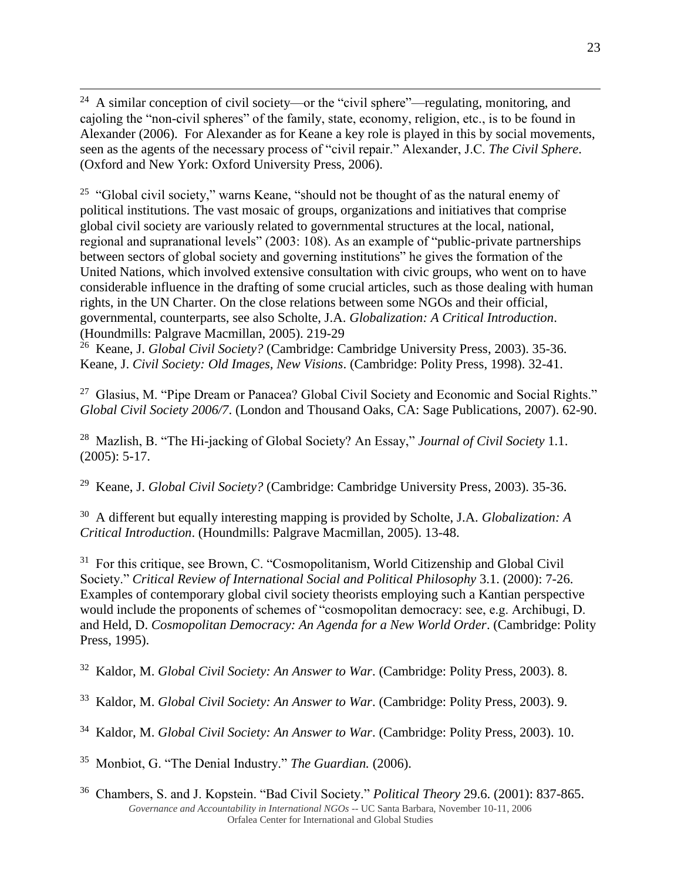<sup>24</sup> A similar conception of civil society—or the "civil sphere"—regulating, monitoring, and cajoling the "non-civil spheres" of the family, state, economy, religion, etc., is to be found in Alexander (2006). For Alexander as for Keane a key role is played in this by social movements, seen as the agents of the necessary process of "civil repair." Alexander, J.C. *The Civil Sphere*. (Oxford and New York: Oxford University Press, 2006).

 $\overline{a}$ 

<sup>25</sup> "Global civil society," warns Keane, "should not be thought of as the natural enemy of political institutions. The vast mosaic of groups, organizations and initiatives that comprise global civil society are variously related to governmental structures at the local, national, regional and supranational levels" (2003: 108). As an example of "public-private partnerships between sectors of global society and governing institutions" he gives the formation of the United Nations, which involved extensive consultation with civic groups, who went on to have considerable influence in the drafting of some crucial articles, such as those dealing with human rights, in the UN Charter. On the close relations between some NGOs and their official, governmental, counterparts, see also Scholte, J.A. *Globalization: A Critical Introduction*. (Houndmills: Palgrave Macmillan, 2005). 219-29

26 Keane, J. *Global Civil Society?* (Cambridge: Cambridge University Press, 2003). 35-36. Keane, J. *Civil Society: Old Images, New Visions*. (Cambridge: Polity Press, 1998). 32-41.

<sup>27</sup> Glasius, M. "Pipe Dream or Panacea? Global Civil Society and Economic and Social Rights." *Global Civil Society 2006/7*. (London and Thousand Oaks, CA: Sage Publications, 2007). 62-90.

28 Mazlish, B. "The Hi-jacking of Global Society? An Essay," *Journal of Civil Society* 1.1. (2005): 5-17.

29 Keane, J. *Global Civil Society?* (Cambridge: Cambridge University Press, 2003). 35-36.

30 A different but equally interesting mapping is provided by Scholte, J.A. *Globalization: A Critical Introduction*. (Houndmills: Palgrave Macmillan, 2005). 13-48.

<sup>31</sup> For this critique, see Brown, C. "Cosmopolitanism, World Citizenship and Global Civil Society." *Critical Review of International Social and Political Philosophy* 3.1. (2000): 7-26. Examples of contemporary global civil society theorists employing such a Kantian perspective would include the proponents of schemes of "cosmopolitan democracy: see, e.g. Archibugi, D. and Held, D. *Cosmopolitan Democracy: An Agenda for a New World Order*. (Cambridge: Polity Press, 1995).

32 Kaldor, M. *Global Civil Society: An Answer to War*. (Cambridge: Polity Press, 2003). 8.

33 Kaldor, M. *Global Civil Society: An Answer to War*. (Cambridge: Polity Press, 2003). 9.

34 Kaldor, M. *Global Civil Society: An Answer to War*. (Cambridge: Polity Press, 2003). 10.

35 Monbiot, G. "The Denial Industry." *The Guardian.* (2006).

*Governance and Accountability in International NGOs* -- UC Santa Barbara, November 10-11, 2006 Orfalea Center for International and Global Studies 36 Chambers, S. and J. Kopstein. "Bad Civil Society." *Political Theory* 29.6. (2001): 837-865.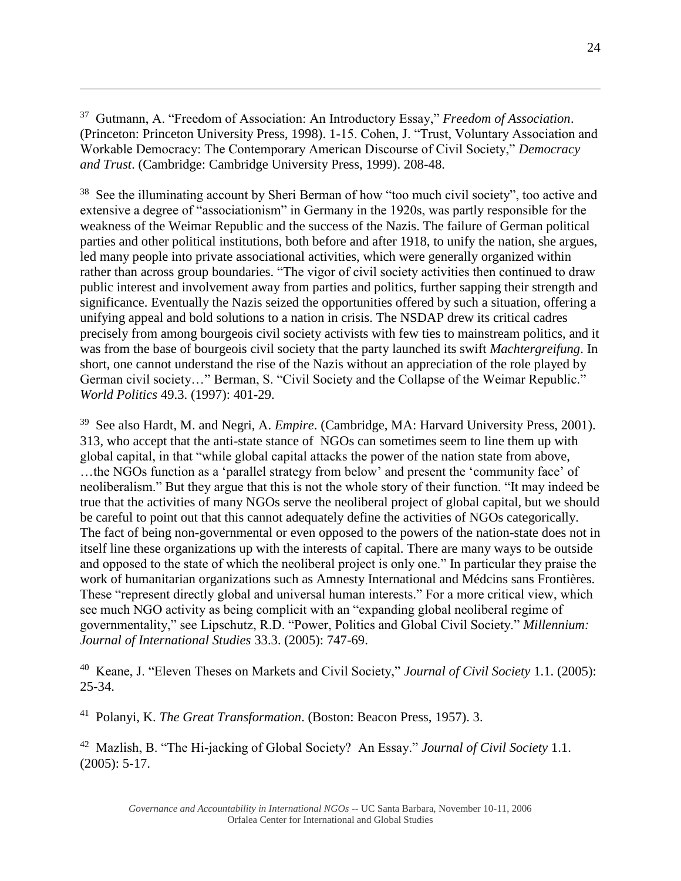37 Gutmann, A. "Freedom of Association: An Introductory Essay," *Freedom of Association*. (Princeton: Princeton University Press, 1998). 1-15. Cohen, J. "Trust, Voluntary Association and Workable Democracy: The Contemporary American Discourse of Civil Society," *Democracy and Trust*. (Cambridge: Cambridge University Press, 1999). 208-48.

 $\overline{a}$ 

<sup>38</sup> See the illuminating account by Sheri Berman of how "too much civil society", too active and extensive a degree of "associationism" in Germany in the 1920s, was partly responsible for the weakness of the Weimar Republic and the success of the Nazis. The failure of German political parties and other political institutions, both before and after 1918, to unify the nation, she argues, led many people into private associational activities, which were generally organized within rather than across group boundaries. "The vigor of civil society activities then continued to draw public interest and involvement away from parties and politics, further sapping their strength and significance. Eventually the Nazis seized the opportunities offered by such a situation, offering a unifying appeal and bold solutions to a nation in crisis. The NSDAP drew its critical cadres precisely from among bourgeois civil society activists with few ties to mainstream politics, and it was from the base of bourgeois civil society that the party launched its swift *Machtergreifung*. In short, one cannot understand the rise of the Nazis without an appreciation of the role played by German civil society…" Berman, S. "Civil Society and the Collapse of the Weimar Republic." *World Politics* 49.3. (1997): 401-29.

39 See also Hardt, M. and Negri, A. *Empire*. (Cambridge, MA: Harvard University Press, 2001). 313, who accept that the anti-state stance of NGOs can sometimes seem to line them up with global capital, in that "while global capital attacks the power of the nation state from above, …the NGOs function as a 'parallel strategy from below' and present the 'community face' of neoliberalism." But they argue that this is not the whole story of their function. "It may indeed be true that the activities of many NGOs serve the neoliberal project of global capital, but we should be careful to point out that this cannot adequately define the activities of NGOs categorically. The fact of being non-governmental or even opposed to the powers of the nation-state does not in itself line these organizations up with the interests of capital. There are many ways to be outside and opposed to the state of which the neoliberal project is only one." In particular they praise the work of humanitarian organizations such as Amnesty International and Médcins sans Frontières. These "represent directly global and universal human interests." For a more critical view, which see much NGO activity as being complicit with an "expanding global neoliberal regime of governmentality," see Lipschutz, R.D. "Power, Politics and Global Civil Society." *Millennium: Journal of International Studies* 33.3. (2005): 747-69.

40 Keane, J. "Eleven Theses on Markets and Civil Society," *Journal of Civil Society* 1.1. (2005): 25-34.

41 Polanyi, K. *The Great Transformation*. (Boston: Beacon Press, 1957). 3.

42 Mazlish, B. "The Hi-jacking of Global Society? An Essay." *Journal of Civil Society* 1.1. (2005): 5-17.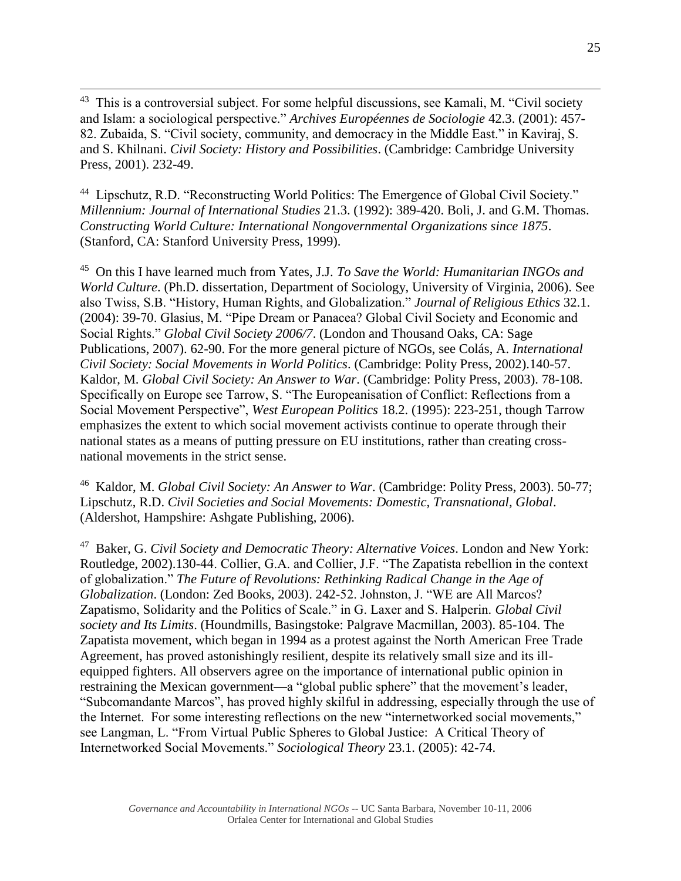$\overline{a}$ <sup>43</sup> This is a controversial subject. For some helpful discussions, see Kamali, M. "Civil society and Islam: a sociological perspective." *Archives Européennes de Sociologie* 42.3. (2001): 457- 82. Zubaida, S. "Civil society, community, and democracy in the Middle East." in Kaviraj, S. and S. Khilnani. *Civil Society: History and Possibilities*. (Cambridge: Cambridge University Press, 2001). 232-49.

<sup>44</sup> Lipschutz, R.D. "Reconstructing World Politics: The Emergence of Global Civil Society." *Millennium: Journal of International Studies* 21.3. (1992): 389-420. Boli, J. and G.M. Thomas. *Constructing World Culture: International Nongovernmental Organizations since 1875*. (Stanford, CA: Stanford University Press, 1999).

45 On this I have learned much from Yates, J.J. *To Save the World: Humanitarian INGOs and World Culture*. (Ph.D. dissertation, Department of Sociology, University of Virginia, 2006). See also Twiss, S.B. "History, Human Rights, and Globalization." *Journal of Religious Ethics* 32.1. (2004): 39-70. Glasius, M. "Pipe Dream or Panacea? Global Civil Society and Economic and Social Rights." *Global Civil Society 2006/7*. (London and Thousand Oaks, CA: Sage Publications, 2007). 62-90. For the more general picture of NGOs, see Colás, A. *International Civil Society: Social Movements in World Politics*. (Cambridge: Polity Press, 2002).140-57. Kaldor, M. *Global Civil Society: An Answer to War*. (Cambridge: Polity Press, 2003). 78-108. Specifically on Europe see Tarrow, S. "The Europeanisation of Conflict: Reflections from a Social Movement Perspective", *West European Politics* 18.2. (1995): 223-251, though Tarrow emphasizes the extent to which social movement activists continue to operate through their national states as a means of putting pressure on EU institutions, rather than creating crossnational movements in the strict sense.

46 Kaldor, M. *Global Civil Society: An Answer to War*. (Cambridge: Polity Press, 2003). 50-77; Lipschutz, R.D. *Civil Societies and Social Movements: Domestic, Transnational, Global*. (Aldershot, Hampshire: Ashgate Publishing, 2006).

47 Baker, G. *Civil Society and Democratic Theory: Alternative Voices*. London and New York: Routledge, 2002).130-44. Collier, G.A. and Collier, J.F. "The Zapatista rebellion in the context of globalization." *The Future of Revolutions: Rethinking Radical Change in the Age of Globalization*. (London: Zed Books, 2003). 242-52. Johnston, J. "WE are All Marcos? Zapatismo, Solidarity and the Politics of Scale." in G. Laxer and S. Halperin. *Global Civil society and Its Limits*. (Houndmills, Basingstoke: Palgrave Macmillan, 2003). 85-104. The Zapatista movement, which began in 1994 as a protest against the North American Free Trade Agreement, has proved astonishingly resilient, despite its relatively small size and its illequipped fighters. All observers agree on the importance of international public opinion in restraining the Mexican government—a "global public sphere" that the movement's leader, "Subcomandante Marcos", has proved highly skilful in addressing, especially through the use of the Internet. For some interesting reflections on the new "internetworked social movements," see Langman, L. "From Virtual Public Spheres to Global Justice: A Critical Theory of Internetworked Social Movements." *Sociological Theory* 23.1. (2005): 42-74.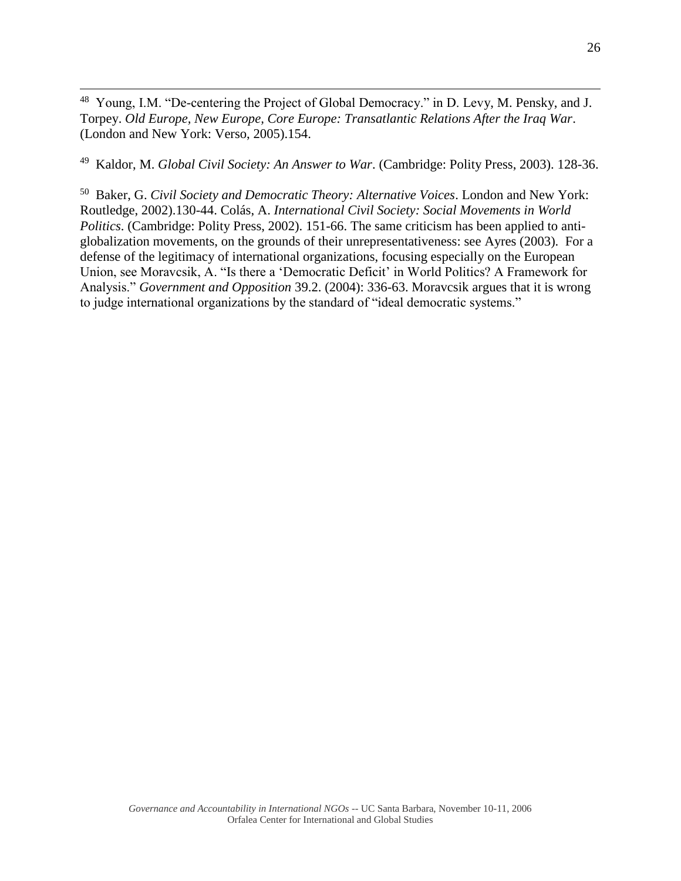<sup>48</sup> Young, I.M. "De-centering the Project of Global Democracy." in D. Levy, M. Pensky, and J. Torpey. *Old Europe, New Europe, Core Europe: Transatlantic Relations After the Iraq War*. (London and New York: Verso, 2005).154.

 $\overline{a}$ 

49 Kaldor, M. *Global Civil Society: An Answer to War*. (Cambridge: Polity Press, 2003). 128-36.

50 Baker, G. *Civil Society and Democratic Theory: Alternative Voices*. London and New York: Routledge, 2002).130-44. Colás, A. *International Civil Society: Social Movements in World Politics*. (Cambridge: Polity Press, 2002). 151-66. The same criticism has been applied to antiglobalization movements, on the grounds of their unrepresentativeness: see Ayres (2003). For a defense of the legitimacy of international organizations, focusing especially on the European Union, see Moravcsik, A. "Is there a 'Democratic Deficit' in World Politics? A Framework for Analysis." *Government and Opposition* 39.2. (2004): 336-63. Moravcsik argues that it is wrong to judge international organizations by the standard of "ideal democratic systems."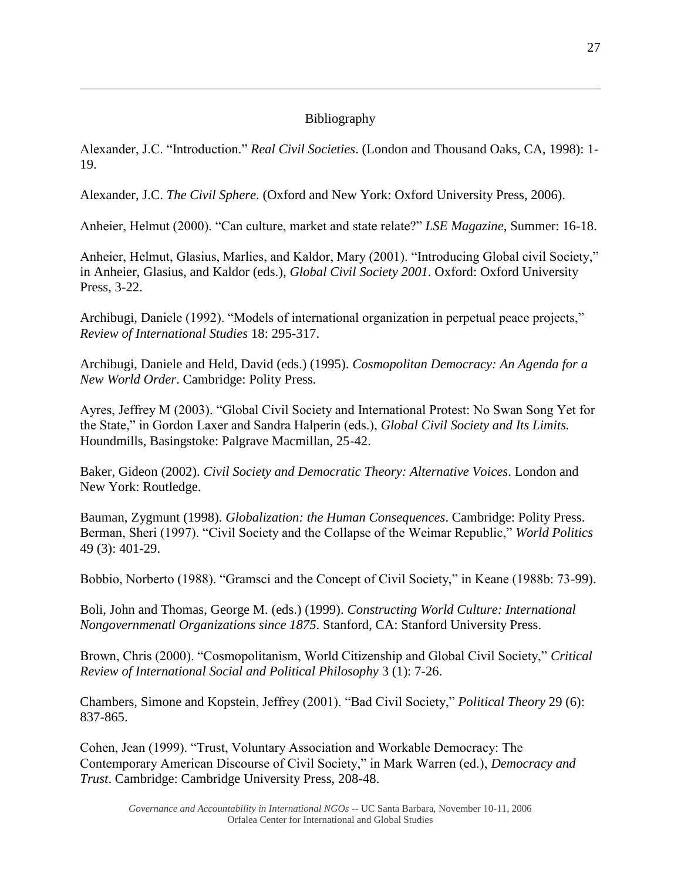# Bibliography

Alexander, J.C. "Introduction." *Real Civil Societies*. (London and Thousand Oaks, CA, 1998): 1- 19.

Alexander, J.C. *The Civil Sphere*. (Oxford and New York: Oxford University Press, 2006).

 $\overline{a}$ 

Anheier, Helmut (2000). "Can culture, market and state relate?" *LSE Magazine*, Summer: 16-18.

Anheier, Helmut, Glasius, Marlies, and Kaldor, Mary (2001). "Introducing Global civil Society," in Anheier, Glasius, and Kaldor (eds.), *Global Civil Society 2001*. Oxford: Oxford University Press, 3-22.

Archibugi, Daniele (1992). "Models of international organization in perpetual peace projects," *Review of International Studies* 18: 295-317.

Archibugi, Daniele and Held, David (eds.) (1995). *Cosmopolitan Democracy: An Agenda for a New World Order*. Cambridge: Polity Press.

Ayres, Jeffrey M (2003). "Global Civil Society and International Protest: No Swan Song Yet for the State," in Gordon Laxer and Sandra Halperin (eds.), *Global Civil Society and Its Limits.* Houndmills, Basingstoke: Palgrave Macmillan, 25-42.

Baker, Gideon (2002). *Civil Society and Democratic Theory: Alternative Voices*. London and New York: Routledge.

Bauman, Zygmunt (1998). *Globalization: the Human Consequences*. Cambridge: Polity Press. Berman, Sheri (1997). "Civil Society and the Collapse of the Weimar Republic," *World Politics* 49 (3): 401-29.

Bobbio, Norberto (1988). "Gramsci and the Concept of Civil Society," in Keane (1988b: 73-99).

Boli, John and Thomas, George M. (eds.) (1999). *Constructing World Culture: International Nongovernmenatl Organizations since 1875*. Stanford, CA: Stanford University Press.

Brown, Chris (2000). "Cosmopolitanism, World Citizenship and Global Civil Society," *Critical Review of International Social and Political Philosophy* 3 (1): 7-26.

Chambers, Simone and Kopstein, Jeffrey (2001). "Bad Civil Society," *Political Theory* 29 (6): 837-865.

Cohen, Jean (1999). "Trust, Voluntary Association and Workable Democracy: The Contemporary American Discourse of Civil Society," in Mark Warren (ed.), *Democracy and Trust*. Cambridge: Cambridge University Press, 208-48.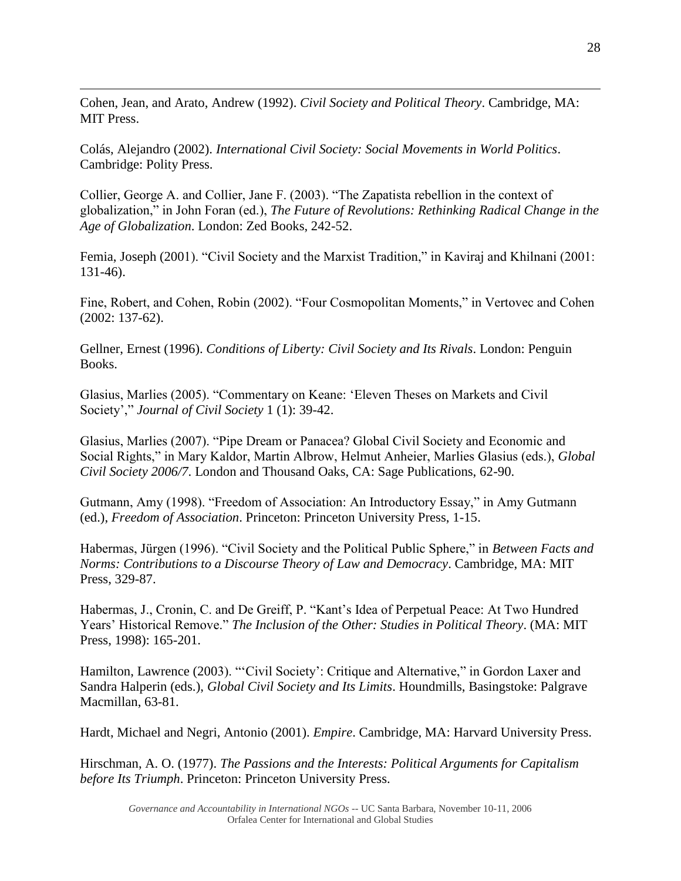Cohen, Jean, and Arato, Andrew (1992). *Civil Society and Political Theory*. Cambridge, MA: MIT Press.

 $\overline{a}$ 

Colás, Alejandro (2002). *International Civil Society: Social Movements in World Politics*. Cambridge: Polity Press.

Collier, George A. and Collier, Jane F. (2003). "The Zapatista rebellion in the context of globalization," in John Foran (ed.), *The Future of Revolutions: Rethinking Radical Change in the Age of Globalization*. London: Zed Books, 242-52.

Femia, Joseph (2001). "Civil Society and the Marxist Tradition," in Kaviraj and Khilnani (2001: 131-46).

Fine, Robert, and Cohen, Robin (2002). "Four Cosmopolitan Moments," in Vertovec and Cohen (2002: 137-62).

Gellner, Ernest (1996). *Conditions of Liberty: Civil Society and Its Rivals*. London: Penguin Books.

Glasius, Marlies (2005). "Commentary on Keane: 'Eleven Theses on Markets and Civil Society'," *Journal of Civil Society* 1 (1): 39-42.

Glasius, Marlies (2007). "Pipe Dream or Panacea? Global Civil Society and Economic and Social Rights," in Mary Kaldor, Martin Albrow, Helmut Anheier, Marlies Glasius (eds.), *Global Civil Society 2006/7*. London and Thousand Oaks, CA: Sage Publications, 62-90.

Gutmann, Amy (1998). "Freedom of Association: An Introductory Essay," in Amy Gutmann (ed.), *Freedom of Association*. Princeton: Princeton University Press, 1-15.

Habermas, Jürgen (1996). "Civil Society and the Political Public Sphere," in *Between Facts and Norms: Contributions to a Discourse Theory of Law and Democracy*. Cambridge, MA: MIT Press, 329-87.

Habermas, J., Cronin, C. and De Greiff, P. "Kant's Idea of Perpetual Peace: At Two Hundred Years' Historical Remove." *The Inclusion of the Other: Studies in Political Theory*. (MA: MIT Press, 1998): 165-201.

Hamilton, Lawrence (2003). "'Civil Society': Critique and Alternative," in Gordon Laxer and Sandra Halperin (eds.), *Global Civil Society and Its Limits*. Houndmills, Basingstoke: Palgrave Macmillan, 63-81.

Hardt, Michael and Negri, Antonio (2001). *Empire*. Cambridge, MA: Harvard University Press.

Hirschman, A. O. (1977). *The Passions and the Interests: Political Arguments for Capitalism before Its Triumph*. Princeton: Princeton University Press.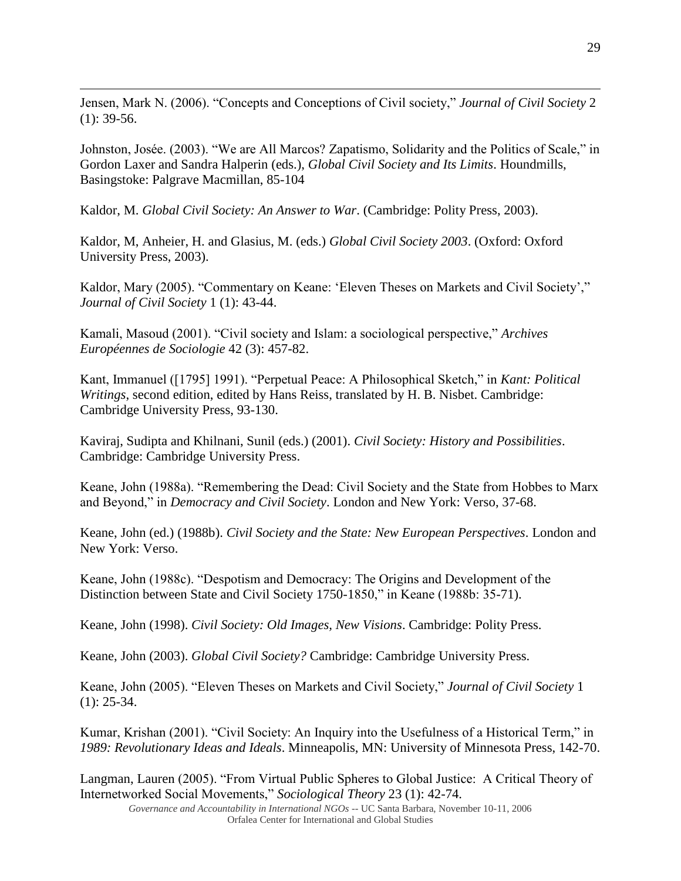Jensen, Mark N. (2006). "Concepts and Conceptions of Civil society," *Journal of Civil Society* 2 (1): 39-56.

Johnston, Josée. (2003). "We are All Marcos? Zapatismo, Solidarity and the Politics of Scale," in Gordon Laxer and Sandra Halperin (eds.), *Global Civil Society and Its Limits*. Houndmills, Basingstoke: Palgrave Macmillan, 85-104

Kaldor, M. *Global Civil Society: An Answer to War*. (Cambridge: Polity Press, 2003).

 $\overline{a}$ 

Kaldor, M, Anheier, H. and Glasius, M. (eds.) *Global Civil Society 2003*. (Oxford: Oxford University Press, 2003).

Kaldor, Mary (2005). "Commentary on Keane: 'Eleven Theses on Markets and Civil Society'," *Journal of Civil Society* 1 (1): 43-44.

Kamali, Masoud (2001). "Civil society and Islam: a sociological perspective," *Archives Européennes de Sociologie* 42 (3): 457-82.

Kant, Immanuel ([1795] 1991). "Perpetual Peace: A Philosophical Sketch," in *Kant: Political Writings*, second edition, edited by Hans Reiss, translated by H. B. Nisbet. Cambridge: Cambridge University Press, 93-130.

Kaviraj, Sudipta and Khilnani, Sunil (eds.) (2001). *Civil Society: History and Possibilities*. Cambridge: Cambridge University Press.

Keane, John (1988a). "Remembering the Dead: Civil Society and the State from Hobbes to Marx and Beyond," in *Democracy and Civil Society*. London and New York: Verso, 37-68.

Keane, John (ed.) (1988b). *Civil Society and the State: New European Perspectives*. London and New York: Verso.

Keane, John (1988c). "Despotism and Democracy: The Origins and Development of the Distinction between State and Civil Society 1750-1850," in Keane (1988b: 35-71).

Keane, John (1998). *Civil Society: Old Images, New Visions*. Cambridge: Polity Press.

Keane, John (2003). *Global Civil Society?* Cambridge: Cambridge University Press.

Keane, John (2005). "Eleven Theses on Markets and Civil Society," *Journal of Civil Society* 1 (1): 25-34.

Kumar, Krishan (2001). "Civil Society: An Inquiry into the Usefulness of a Historical Term," in *1989: Revolutionary Ideas and Ideals*. Minneapolis, MN: University of Minnesota Press, 142-70.

Langman, Lauren (2005). "From Virtual Public Spheres to Global Justice: A Critical Theory of Internetworked Social Movements," *Sociological Theory* 23 (1): 42-74.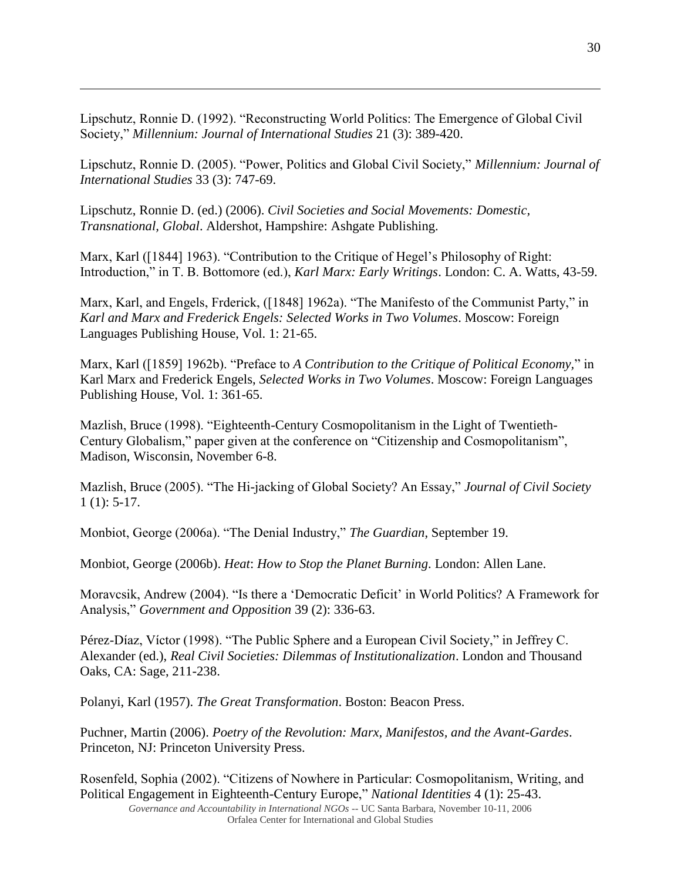Lipschutz, Ronnie D. (1992). "Reconstructing World Politics: The Emergence of Global Civil Society," *Millennium: Journal of International Studies* 21 (3): 389-420.

Lipschutz, Ronnie D. (2005). "Power, Politics and Global Civil Society," *Millennium: Journal of International Studies* 33 (3): 747-69.

Lipschutz, Ronnie D. (ed.) (2006). *Civil Societies and Social Movements: Domestic, Transnational, Global*. Aldershot, Hampshire: Ashgate Publishing.

 $\overline{a}$ 

Marx, Karl ([1844] 1963). "Contribution to the Critique of Hegel's Philosophy of Right: Introduction," in T. B. Bottomore (ed.), *Karl Marx: Early Writings*. London: C. A. Watts, 43-59.

Marx, Karl, and Engels, Frderick, ([1848] 1962a). "The Manifesto of the Communist Party," in *Karl and Marx and Frederick Engels: Selected Works in Two Volumes*. Moscow: Foreign Languages Publishing House, Vol. 1: 21-65.

Marx, Karl ([1859] 1962b). "Preface to *A Contribution to the Critique of Political Economy,*" in Karl Marx and Frederick Engels, *Selected Works in Two Volumes*. Moscow: Foreign Languages Publishing House, Vol. 1: 361-65.

Mazlish, Bruce (1998). "Eighteenth-Century Cosmopolitanism in the Light of Twentieth-Century Globalism," paper given at the conference on "Citizenship and Cosmopolitanism", Madison, Wisconsin, November 6-8.

Mazlish, Bruce (2005). "The Hi-jacking of Global Society? An Essay," *Journal of Civil Society* 1 (1): 5-17.

Monbiot, George (2006a). "The Denial Industry," *The Guardian*, September 19.

Monbiot, George (2006b). *Heat*: *How to Stop the Planet Burning*. London: Allen Lane.

Moravcsik, Andrew (2004). "Is there a 'Democratic Deficit' in World Politics? A Framework for Analysis," *Government and Opposition* 39 (2): 336-63.

Pérez-Díaz, Víctor (1998). "The Public Sphere and a European Civil Society," in Jeffrey C. Alexander (ed.), *Real Civil Societies: Dilemmas of Institutionalization*. London and Thousand Oaks, CA: Sage, 211-238.

Polanyi, Karl (1957). *The Great Transformation*. Boston: Beacon Press.

Puchner, Martin (2006). *Poetry of the Revolution: Marx, Manifestos, and the Avant-Gardes*. Princeton, NJ: Princeton University Press.

Rosenfeld, Sophia (2002). "Citizens of Nowhere in Particular: Cosmopolitanism, Writing, and Political Engagement in Eighteenth-Century Europe," *National Identities* 4 (1): 25-43.

*Governance and Accountability in International NGOs* -- UC Santa Barbara, November 10-11, 2006 Orfalea Center for International and Global Studies